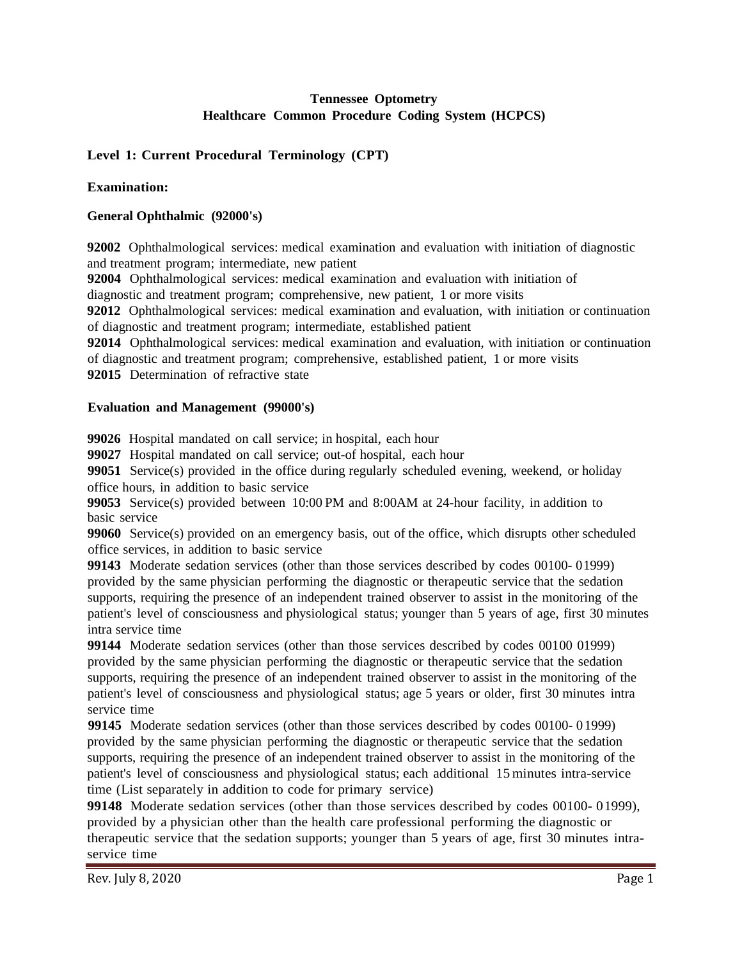# **Tennessee Optometry Healthcare Common Procedure Coding System (HCPCS)**

## **Level 1: Current Procedural Terminology (CPT)**

## **Examination:**

### **General Ophthalmic (92000's)**

**92002** Ophthalmological services: medical examination and evaluation with initiation of diagnostic and treatment program; intermediate, new patient

**92004** Ophthalmological services: medical examination and evaluation with initiation of diagnostic and treatment program; comprehensive, new patient, 1 or more visits

**92012** Ophthalmological services: medical examination and evaluation, with initiation or continuation of diagnostic and treatment program; intermediate, established patient

**92014** Ophthalmological services: medical examination and evaluation, with initiation or continuation of diagnostic and treatment program; comprehensive, established patient, 1 or more visits **92015** Determination of refractive state

### **Evaluation and Management (99000's)**

**99026** Hospital mandated on call service; in hospital, each hour

**99027** Hospital mandated on call service; out-of hospital, each hour

**99051** Service(s) provided in the office during regularly scheduled evening, weekend, or holiday office hours, in addition to basic service

**99053** Service(s) provided between 10:00 PM and 8:00AM at 24-hour facility, in addition to basic service

**99060** Service(s) provided on an emergency basis, out of the office, which disrupts other scheduled office services, in addition to basic service

**99143** Moderate sedation services (other than those services described by codes 00100- 01999) provided by the same physician performing the diagnostic or therapeutic service that the sedation supports, requiring the presence of an independent trained observer to assist in the monitoring of the patient's level of consciousness and physiological status; younger than 5 years of age, first 30 minutes intra service time

**99144** Moderate sedation services (other than those services described by codes 00100 01999) provided by the same physician performing the diagnostic or therapeutic service that the sedation supports, requiring the presence of an independent trained observer to assist in the monitoring of the patient's level of consciousness and physiological status; age 5 years or older, first 30 minutes intra service time

**99145** Moderate sedation services (other than those services described by codes 00100- 01999) provided by the same physician performing the diagnostic or therapeutic service that the sedation supports, requiring the presence of an independent trained observer to assist in the monitoring of the patient's level of consciousness and physiological status; each additional 15 minutes intra-service time (List separately in addition to code for primary service)

**99148** Moderate sedation services (other than those services described by codes 00100- 01999), provided by a physician other than the health care professional performing the diagnostic or therapeutic service that the sedation supports; younger than 5 years of age, first 30 minutes intraservice time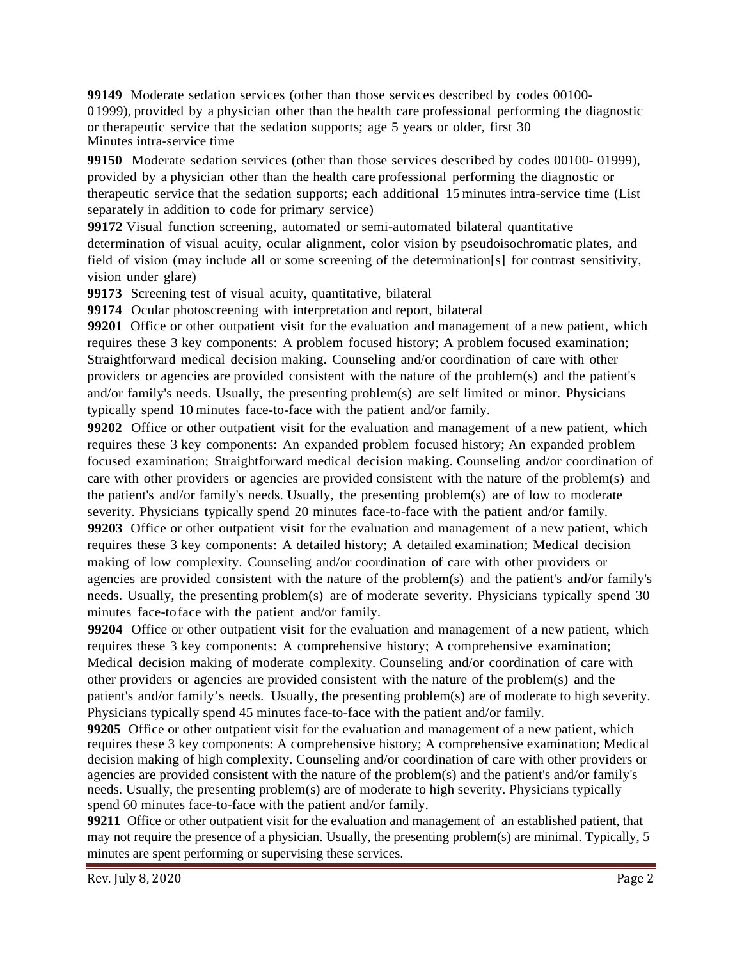**99149** Moderate sedation services (other than those services described by codes 00100- 01999), provided by a physician other than the health care professional performing the diagnostic or therapeutic service that the sedation supports; age 5 years or older, first 30 Minutes intra-service time

**99150** Moderate sedation services (other than those services described by codes 00100- 01999), provided by a physician other than the health care professional performing the diagnostic or therapeutic service that the sedation supports; each additional 15 minutes intra-service time (List separately in addition to code for primary service)

**99172** Visual function screening, automated or semi-automated bilateral quantitative determination of visual acuity, ocular alignment, color vision by pseudoisochromatic plates, and field of vision (may include all or some screening of the determination[s] for contrast sensitivity, vision under glare)

**99173** Screening test of visual acuity, quantitative, bilateral

**99174** Ocular photoscreening with interpretation and report, bilateral

**99201** Office or other outpatient visit for the evaluation and management of a new patient, which requires these 3 key components: A problem focused history; A problem focused examination; Straightforward medical decision making. Counseling and/or coordination of care with other providers or agencies are provided consistent with the nature of the problem(s) and the patient's and/or family's needs. Usually, the presenting problem(s) are self limited or minor. Physicians typically spend 10 minutes face-to-face with the patient and/or family.

**99202** Office or other outpatient visit for the evaluation and management of a new patient, which requires these 3 key components: An expanded problem focused history; An expanded problem focused examination; Straightforward medical decision making. Counseling and/or coordination of care with other providers or agencies are provided consistent with the nature of the problem(s) and the patient's and/or family's needs. Usually, the presenting problem(s) are of low to moderate severity. Physicians typically spend 20 minutes face-to-face with the patient and/or family. **99203** Office or other outpatient visit for the evaluation and management of a new patient, which requires these 3 key components: A detailed history; A detailed examination; Medical decision making of low complexity. Counseling and/or coordination of care with other providers or agencies are provided consistent with the nature of the problem(s) and the patient's and/or family's needs. Usually, the presenting problem(s) are of moderate severity. Physicians typically spend 30 minutes face-toface with the patient and/or family.

**99204** Office or other outpatient visit for the evaluation and management of a new patient, which requires these 3 key components: A comprehensive history; A comprehensive examination; Medical decision making of moderate complexity. Counseling and/or coordination of care with other providers or agencies are provided consistent with the nature of the problem(s) and the patient's and/or family's needs. Usually, the presenting problem(s) are of moderate to high severity. Physicians typically spend 45 minutes face-to-face with the patient and/or family.

**99205** Office or other outpatient visit for the evaluation and management of a new patient, which requires these 3 key components: A comprehensive history; A comprehensive examination; Medical decision making of high complexity. Counseling and/or coordination of care with other providers or agencies are provided consistent with the nature of the problem(s) and the patient's and/or family's needs. Usually, the presenting problem(s) are of moderate to high severity. Physicians typically spend 60 minutes face-to-face with the patient and/or family.

**99211** Office or other outpatient visit for the evaluation and management of an established patient, that may not require the presence of a physician. Usually, the presenting problem(s) are minimal. Typically, 5 minutes are spent performing or supervising these services.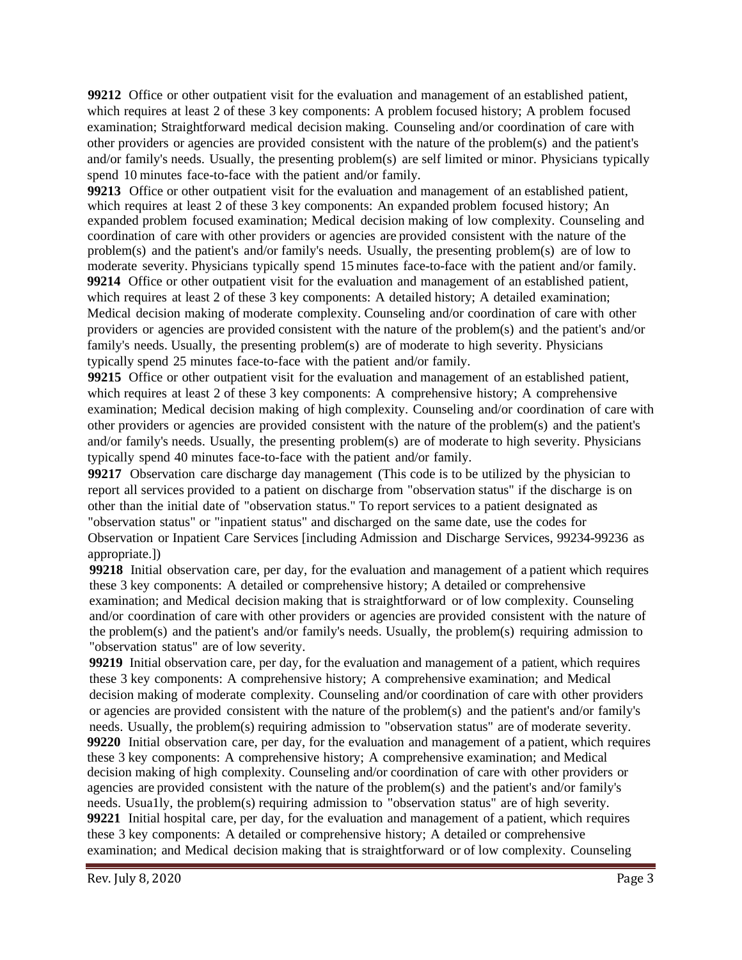**99212** Office or other outpatient visit for the evaluation and management of an established patient, which requires at least 2 of these 3 key components: A problem focused history; A problem focused examination; Straightforward medical decision making. Counseling and/or coordination of care with other providers or agencies are provided consistent with the nature of the problem(s) and the patient's and/or family's needs. Usually, the presenting problem(s) are self limited or minor. Physicians typically spend 10 minutes face-to-face with the patient and/or family.

**99213** Office or other outpatient visit for the evaluation and management of an established patient, which requires at least 2 of these 3 key components: An expanded problem focused history; An expanded problem focused examination; Medical decision making of low complexity. Counseling and coordination of care with other providers or agencies are provided consistent with the nature of the problem(s) and the patient's and/or family's needs. Usually, the presenting problem(s) are of low to moderate severity. Physicians typically spend 15 minutes face-to-face with the patient and/or family. **99214** Office or other outpatient visit for the evaluation and management of an established patient, which requires at least 2 of these 3 key components: A detailed history; A detailed examination; Medical decision making of moderate complexity. Counseling and/or coordination of care with other providers or agencies are provided consistent with the nature of the problem(s) and the patient's and/or family's needs. Usually, the presenting problem(s) are of moderate to high severity. Physicians typically spend 25 minutes face-to-face with the patient and/or family.

**99215** Office or other outpatient visit for the evaluation and management of an established patient, which requires at least 2 of these 3 key components: A comprehensive history; A comprehensive examination; Medical decision making of high complexity. Counseling and/or coordination of care with other providers or agencies are provided consistent with the nature of the problem(s) and the patient's and/or family's needs. Usually, the presenting problem(s) are of moderate to high severity. Physicians typically spend 40 minutes face-to-face with the patient and/or family.

**99217** Observation care discharge day management (This code is to be utilized by the physician to report all services provided to a patient on discharge from "observation status" if the discharge is on other than the initial date of "observation status." To report services to a patient designated as "observation status" or "inpatient status" and discharged on the same date, use the codes for Observation or Inpatient Care Services [including Admission and Discharge Services, 99234-99236 as appropriate.])

**99218** Initial observation care, per day, for the evaluation and management of a patient which requires these 3 key components: A detailed or comprehensive history; A detailed or comprehensive examination; and Medical decision making that is straightforward or of low complexity. Counseling and/or coordination of care with other providers or agencies are provided consistent with the nature of the problem(s) and the patient's and/or family's needs. Usually, the problem(s) requiring admission to "observation status" are of low severity.

**99219** Initial observation care, per day, for the evaluation and management of a patient, which requires these 3 key components: A comprehensive history; A comprehensive examination; and Medical decision making of moderate complexity. Counseling and/or coordination of care with other providers or agencies are provided consistent with the nature of the problem(s) and the patient's and/or family's needs. Usually, the problem(s) requiring admission to "observation status" are of moderate severity. **99220** Initial observation care, per day, for the evaluation and management of a patient, which requires these 3 key components: A comprehensive history; A comprehensive examination; and Medical decision making of high complexity. Counseling and/or coordination of care with other providers or agencies are provided consistent with the nature of the problem(s) and the patient's and/or family's needs. Usua1ly, the problem(s) requiring admission to "observation status" are of high severity. **99221** Initial hospital care, per day, for the evaluation and management of a patient, which requires these 3 key components: A detailed or comprehensive history; A detailed or comprehensive examination; and Medical decision making that is straightforward or of low complexity. Counseling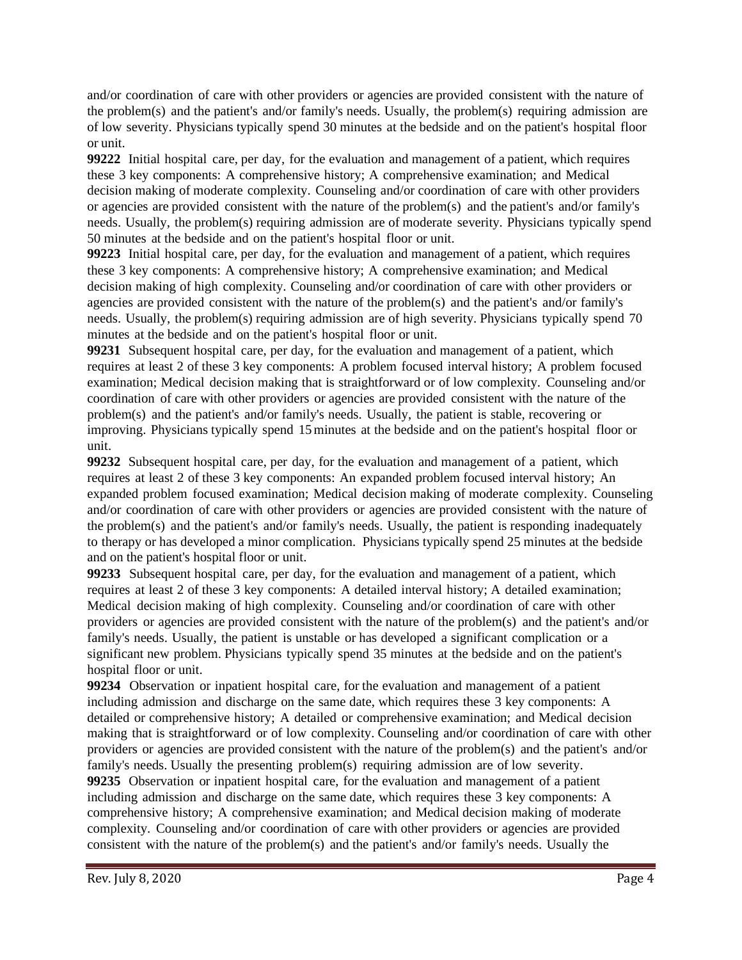and/or coordination of care with other providers or agencies are provided consistent with the nature of the problem(s) and the patient's and/or family's needs. Usually, the problem(s) requiring admission are of low severity. Physicians typically spend 30 minutes at the bedside and on the patient's hospital floor or unit.

**99222** Initial hospital care, per day, for the evaluation and management of a patient, which requires these 3 key components: A comprehensive history; A comprehensive examination; and Medical decision making of moderate complexity. Counseling and/or coordination of care with other providers or agencies are provided consistent with the nature of the problem(s) and the patient's and/or family's needs. Usually, the problem(s) requiring admission are of moderate severity. Physicians typically spend 50 minutes at the bedside and on the patient's hospital floor or unit.

**99223** Initial hospital care, per day, for the evaluation and management of a patient, which requires these 3 key components: A comprehensive history; A comprehensive examination; and Medical decision making of high complexity. Counseling and/or coordination of care with other providers or agencies are provided consistent with the nature of the problem(s) and the patient's and/or family's needs. Usually, the problem(s) requiring admission are of high severity. Physicians typically spend 70 minutes at the bedside and on the patient's hospital floor or unit.

**99231** Subsequent hospital care, per day, for the evaluation and management of a patient, which requires at least 2 of these 3 key components: A problem focused interval history; A problem focused examination; Medical decision making that is straightforward or of low complexity. Counseling and/or coordination of care with other providers or agencies are provided consistent with the nature of the problem(s) and the patient's and/or family's needs. Usually, the patient is stable, recovering or improving. Physicians typically spend 15minutes at the bedside and on the patient's hospital floor or unit.

**99232** Subsequent hospital care, per day, for the evaluation and management of a patient, which requires at least 2 of these 3 key components: An expanded problem focused interval history; An expanded problem focused examination; Medical decision making of moderate complexity. Counseling and/or coordination of care with other providers or agencies are provided consistent with the nature of the problem(s) and the patient's and/or family's needs. Usually, the patient is responding inadequately to therapy or has developed a minor complication. Physicians typically spend 25 minutes at the bedside and on the patient's hospital floor or unit.

**99233** Subsequent hospital care, per day, for the evaluation and management of a patient, which requires at least 2 of these 3 key components: A detailed interval history; A detailed examination; Medical decision making of high complexity. Counseling and/or coordination of care with other providers or agencies are provided consistent with the nature of the problem(s) and the patient's and/or family's needs. Usually, the patient is unstable or has developed a significant complication or a significant new problem. Physicians typically spend 35 minutes at the bedside and on the patient's hospital floor or unit.

**99234** Observation or inpatient hospital care, for the evaluation and management of a patient including admission and discharge on the same date, which requires these 3 key components: A detailed or comprehensive history; A detailed or comprehensive examination; and Medical decision making that is straightforward or of low complexity. Counseling and/or coordination of care with other providers or agencies are provided consistent with the nature of the problem(s) and the patient's and/or family's needs. Usually the presenting problem(s) requiring admission are of low severity.

**99235** Observation or inpatient hospital care, for the evaluation and management of a patient including admission and discharge on the same date, which requires these 3 key components: A comprehensive history; A comprehensive examination; and Medical decision making of moderate complexity. Counseling and/or coordination of care with other providers or agencies are provided consistent with the nature of the problem(s) and the patient's and/or family's needs. Usually the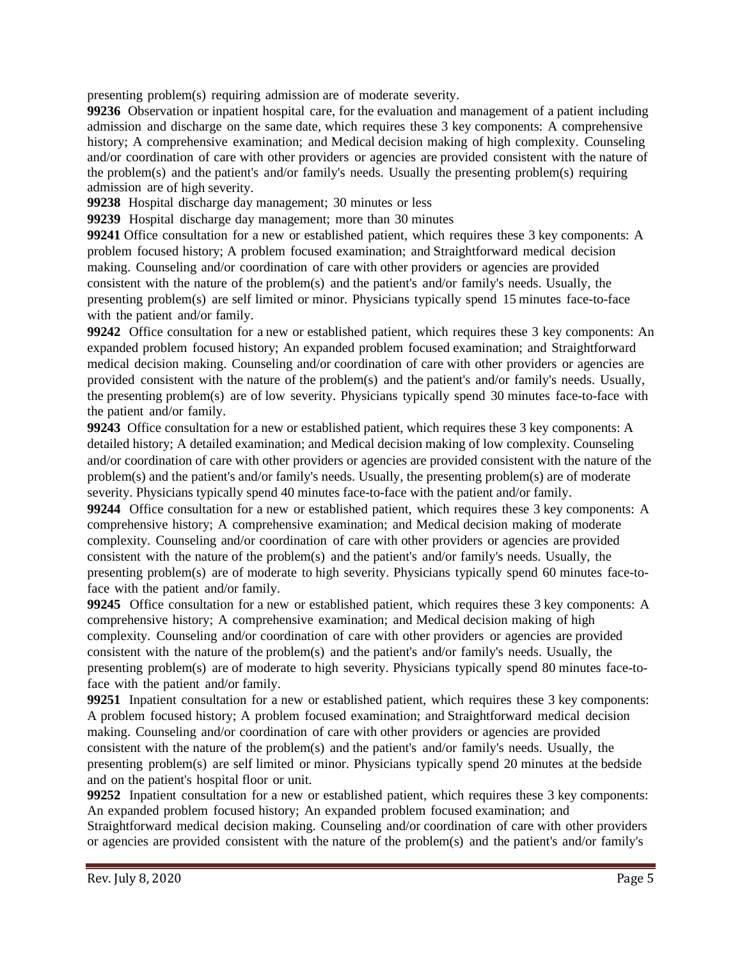presenting problem(s) requiring admission are of moderate severity.

**99236** Observation or inpatient hospital care, for the evaluation and management of a patient including admission and discharge on the same date, which requires these 3 key components: A comprehensive history; A comprehensive examination; and Medical decision making of high complexity. Counseling and/or coordination of care with other providers or agencies are provided consistent with the nature of the problem(s) and the patient's and/or family's needs. Usually the presenting problem(s) requiring admission are of high severity.

**99238** Hospital discharge day management; 30 minutes or less

**99239** Hospital discharge day management; more than 30 minutes

**99241** Office consultation for a new or established patient, which requires these 3 key components: A problem focused history; A problem focused examination; and Straightforward medical decision making. Counseling and/or coordination of care with other providers or agencies are provided consistent with the nature of the problem(s) and the patient's and/or family's needs. Usually, the presenting problem(s) are self limited or minor. Physicians typically spend 15 minutes face-to-face with the patient and/or family.

**99242** Office consultation for a new or established patient, which requires these 3 key components: An expanded problem focused history; An expanded problem focused examination; and Straightforward medical decision making. Counseling and/or coordination of care with other providers or agencies are provided consistent with the nature of the problem(s) and the patient's and/or family's needs. Usually, the presenting problem(s) are of low severity. Physicians typically spend 30 minutes face-to-face with the patient and/or family.

**99243** Office consultation for a new or established patient, which requires these 3 key components: A detailed history; A detailed examination; and Medical decision making of low complexity. Counseling and/or coordination of care with other providers or agencies are provided consistent with the nature of the problem(s) and the patient's and/or family's needs. Usually, the presenting problem(s) are of moderate severity. Physicians typically spend 40 minutes face-to-face with the patient and/or family.

**99244** Office consultation for a new or established patient, which requires these 3 key components: A comprehensive history; A comprehensive examination; and Medical decision making of moderate complexity. Counseling and/or coordination of care with other providers or agencies are provided consistent with the nature of the problem(s) and the patient's and/or family's needs. Usually, the presenting problem(s) are of moderate to high severity. Physicians typically spend 60 minutes face-toface with the patient and/or family.

**99245** Office consultation for a new or established patient, which requires these 3 key components: A comprehensive history; A comprehensive examination; and Medical decision making of high complexity. Counseling and/or coordination of care with other providers or agencies are provided consistent with the nature of the problem(s) and the patient's and/or family's needs. Usually, the presenting problem(s) are of moderate to high severity. Physicians typically spend 80 minutes face-toface with the patient and/or family.

**99251** Inpatient consultation for a new or established patient, which requires these 3 key components: A problem focused history; A problem focused examination; and Straightforward medical decision making. Counseling and/or coordination of care with other providers or agencies are provided consistent with the nature of the problem(s) and the patient's and/or family's needs. Usually, the presenting problem(s) are self limited or minor. Physicians typically spend 20 minutes at the bedside and on the patient's hospital floor or unit.

**99252** Inpatient consultation for a new or established patient, which requires these 3 key components: An expanded problem focused history; An expanded problem focused examination; and Straightforward medical decision making. Counseling and/or coordination of care with other providers or agencies are provided consistent with the nature of the problem(s) and the patient's and/or family's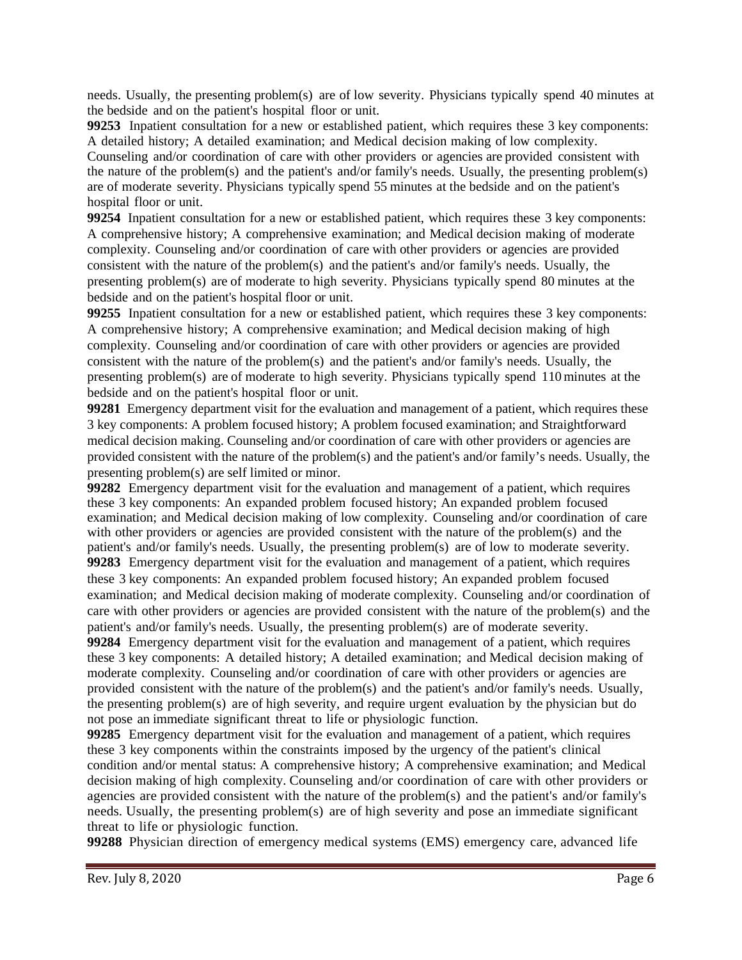needs. Usually, the presenting problem(s) are of low severity. Physicians typically spend 40 minutes at the bedside and on the patient's hospital floor or unit.

**99253** Inpatient consultation for a new or established patient, which requires these 3 key components: A detailed history; A detailed examination; and Medical decision making of low complexity. Counseling and/or coordination of care with other providers or agencies are provided consistent with the nature of the problem(s) and the patient's and/or family's needs. Usually, the presenting problem(s) are of moderate severity. Physicians typically spend 55 minutes at the bedside and on the patient's hospital floor or unit.

**99254** Inpatient consultation for a new or established patient, which requires these 3 key components: A comprehensive history; A comprehensive examination; and Medical decision making of moderate complexity. Counseling and/or coordination of care with other providers or agencies are provided consistent with the nature of the problem(s) and the patient's and/or family's needs. Usually, the presenting problem(s) are of moderate to high severity. Physicians typically spend 80 minutes at the bedside and on the patient's hospital floor or unit.

**99255** Inpatient consultation for a new or established patient, which requires these 3 key components: A comprehensive history; A comprehensive examination; and Medical decision making of high complexity. Counseling and/or coordination of care with other providers or agencies are provided consistent with the nature of the problem(s) and the patient's and/or family's needs. Usually, the presenting problem(s) are of moderate to high severity. Physicians typically spend 110minutes at the bedside and on the patient's hospital floor or unit.

**99281** Emergency department visit for the evaluation and management of a patient, which requires these 3 key components: A problem focused history; A problem focused examination; and Straightforward medical decision making. Counseling and/or coordination of care with other providers or agencies are provided consistent with the nature of the problem(s) and the patient's and/or family's needs. Usually, the presenting problem(s) are self limited or minor.

**99282** Emergency department visit for the evaluation and management of a patient, which requires these 3 key components: An expanded problem focused history; An expanded problem focused examination; and Medical decision making of low complexity. Counseling and/or coordination of care with other providers or agencies are provided consistent with the nature of the problem(s) and the patient's and/or family's needs. Usually, the presenting problem(s) are of low to moderate severity. **99283** Emergency department visit for the evaluation and management of a patient, which requires these 3 key components: An expanded problem focused history; An expanded problem focused examination; and Medical decision making of moderate complexity. Counseling and/or coordination of care with other providers or agencies are provided consistent with the nature of the problem(s) and the patient's and/or family's needs. Usually, the presenting problem(s) are of moderate severity.

**99284** Emergency department visit for the evaluation and management of a patient, which requires these 3 key components: A detailed history; A detailed examination; and Medical decision making of moderate complexity. Counseling and/or coordination of care with other providers or agencies are provided consistent with the nature of the problem(s) and the patient's and/or family's needs. Usually, the presenting problem(s) are of high severity, and require urgent evaluation by the physician but do not pose an immediate significant threat to life or physiologic function.

**99285** Emergency department visit for the evaluation and management of a patient, which requires these 3 key components within the constraints imposed by the urgency of the patient's clinical condition and/or mental status: A comprehensive history; A comprehensive examination; and Medical decision making of high complexity. Counseling and/or coordination of care with other providers or agencies are provided consistent with the nature of the problem(s) and the patient's and/or family's needs. Usually, the presenting problem(s) are of high severity and pose an immediate significant threat to life or physiologic function.

**99288** Physician direction of emergency medical systems (EMS) emergency care, advanced life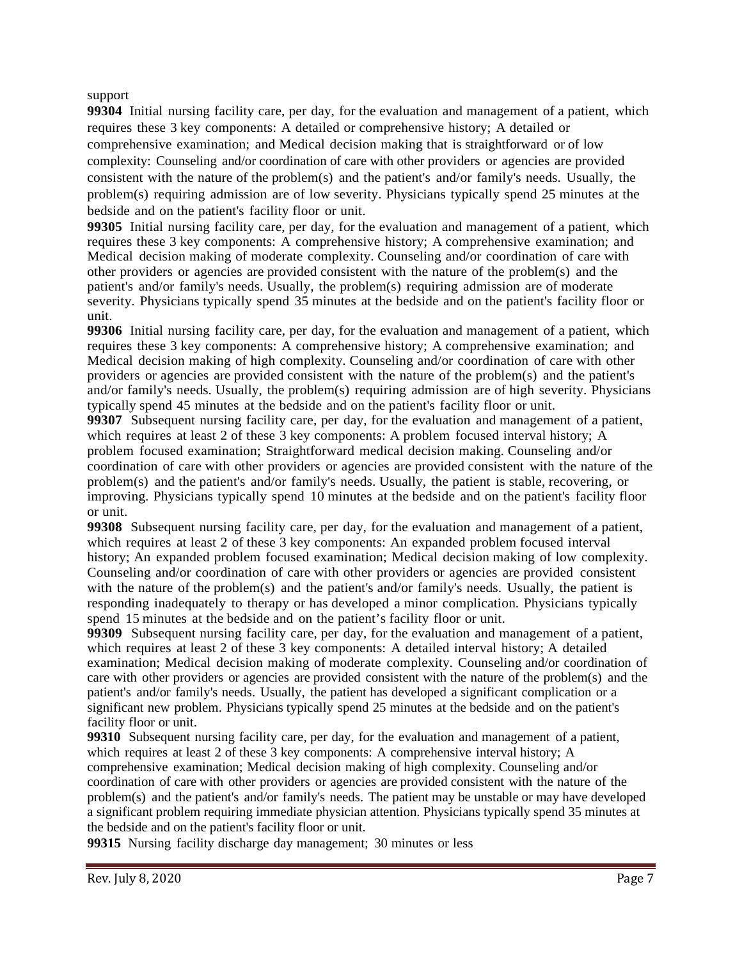### support

**99304** Initial nursing facility care, per day, for the evaluation and management of a patient, which requires these 3 key components: A detailed or comprehensive history; A detailed or comprehensive examination; and Medical decision making that is straightforward or of low complexity: Counseling and/or coordination of care with other providers or agencies are provided consistent with the nature of the problem(s) and the patient's and/or family's needs. Usually, the problem(s) requiring admission are of low severity. Physicians typically spend 25 minutes at the bedside and on the patient's facility floor or unit.

**99305** Initial nursing facility care, per day, for the evaluation and management of a patient, which requires these 3 key components: A comprehensive history; A comprehensive examination; and Medical decision making of moderate complexity. Counseling and/or coordination of care with other providers or agencies are provided consistent with the nature of the problem(s) and the patient's and/or family's needs. Usually, the problem(s) requiring admission are of moderate severity. Physicians typically spend 35 minutes at the bedside and on the patient's facility floor or unit.

**99306** Initial nursing facility care, per day, for the evaluation and management of a patient, which requires these 3 key components: A comprehensive history; A comprehensive examination; and Medical decision making of high complexity. Counseling and/or coordination of care with other providers or agencies are provided consistent with the nature of the problem(s) and the patient's and/or family's needs. Usually, the problem(s) requiring admission are of high severity. Physicians typically spend 45 minutes at the bedside and on the patient's facility floor or unit.

**99307** Subsequent nursing facility care, per day, for the evaluation and management of a patient, which requires at least 2 of these 3 key components: A problem focused interval history; A problem focused examination; Straightforward medical decision making. Counseling and/or coordination of care with other providers or agencies are provided consistent with the nature of the problem(s) and the patient's and/or family's needs. Usually, the patient is stable, recovering, or improving. Physicians typically spend 10 minutes at the bedside and on the patient's facility floor or unit.

**99308** Subsequent nursing facility care, per day, for the evaluation and management of a patient, which requires at least 2 of these 3 key components: An expanded problem focused interval history; An expanded problem focused examination; Medical decision making of low complexity. Counseling and/or coordination of care with other providers or agencies are provided consistent with the nature of the problem(s) and the patient's and/or family's needs. Usually, the patient is responding inadequately to therapy or has developed a minor complication. Physicians typically spend 15 minutes at the bedside and on the patient's facility floor or unit.

**99309** Subsequent nursing facility care, per day, for the evaluation and management of a patient, which requires at least 2 of these 3 key components: A detailed interval history; A detailed examination; Medical decision making of moderate complexity. Counseling and/or coordination of care with other providers or agencies are provided consistent with the nature of the problem(s) and the patient's and/or family's needs. Usually, the patient has developed a significant complication or a significant new problem. Physicians typically spend 25 minutes at the bedside and on the patient's facility floor or unit.

**99310** Subsequent nursing facility care, per day, for the evaluation and management of a patient, which requires at least 2 of these 3 key components: A comprehensive interval history; A comprehensive examination; Medical decision making of high complexity. Counseling and/or coordination of care with other providers or agencies are provided consistent with the nature of the problem(s) and the patient's and/or family's needs. The patient may be unstable or may have developed a significant problem requiring immediate physician attention. Physicians typically spend 35 minutes at the bedside and on the patient's facility floor or unit.

**99315** Nursing facility discharge day management; 30 minutes or less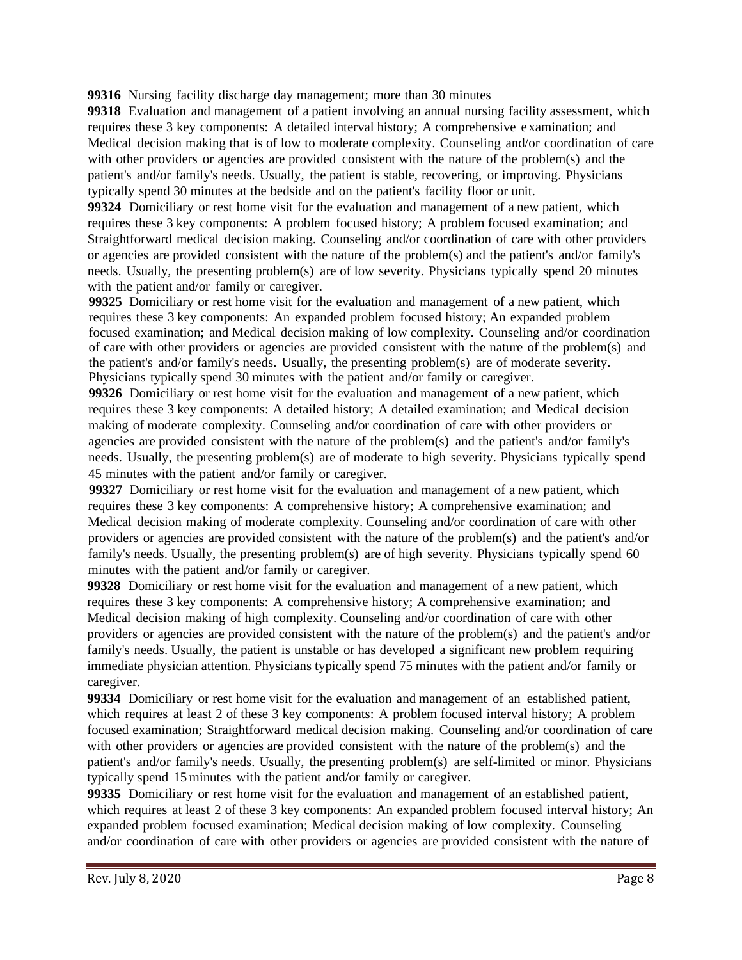**99316** Nursing facility discharge day management; more than 30 minutes

**99318** Evaluation and management of a patient involving an annual nursing facility assessment, which requires these 3 key components: A detailed interval history; A comprehensive examination; and Medical decision making that is of low to moderate complexity. Counseling and/or coordination of care with other providers or agencies are provided consistent with the nature of the problem(s) and the patient's and/or family's needs. Usually, the patient is stable, recovering, or improving. Physicians typically spend 30 minutes at the bedside and on the patient's facility floor or unit.

**99324** Domiciliary or rest home visit for the evaluation and management of a new patient, which requires these 3 key components: A problem focused history; A problem focused examination; and Straightforward medical decision making. Counseling and/or coordination of care with other providers or agencies are provided consistent with the nature of the problem(s) and the patient's and/or family's needs. Usually, the presenting problem(s) are of low severity. Physicians typically spend 20 minutes with the patient and/or family or caregiver.

**99325** Domiciliary or rest home visit for the evaluation and management of a new patient, which requires these 3 key components: An expanded problem focused history; An expanded problem focused examination; and Medical decision making of low complexity. Counseling and/or coordination of care with other providers or agencies are provided consistent with the nature of the problem(s) and the patient's and/or family's needs. Usually, the presenting problem(s) are of moderate severity. Physicians typically spend 30 minutes with the patient and/or family or caregiver.

**99326** Domiciliary or rest home visit for the evaluation and management of a new patient, which requires these 3 key components: A detailed history; A detailed examination; and Medical decision making of moderate complexity. Counseling and/or coordination of care with other providers or agencies are provided consistent with the nature of the problem(s) and the patient's and/or family's needs. Usually, the presenting problem(s) are of moderate to high severity. Physicians typically spend 45 minutes with the patient and/or family or caregiver.

**99327** Domiciliary or rest home visit for the evaluation and management of a new patient, which requires these 3 key components: A comprehensive history; A comprehensive examination; and Medical decision making of moderate complexity. Counseling and/or coordination of care with other providers or agencies are provided consistent with the nature of the problem(s) and the patient's and/or family's needs. Usually, the presenting problem(s) are of high severity. Physicians typically spend 60 minutes with the patient and/or family or caregiver.

**99328** Domiciliary or rest home visit for the evaluation and management of a new patient, which requires these 3 key components: A comprehensive history; A comprehensive examination; and Medical decision making of high complexity. Counseling and/or coordination of care with other providers or agencies are provided consistent with the nature of the problem(s) and the patient's and/or family's needs. Usually, the patient is unstable or has developed a significant new problem requiring immediate physician attention. Physicians typically spend 75 minutes with the patient and/or family or caregiver.

**99334** Domiciliary or rest home visit for the evaluation and management of an established patient, which requires at least 2 of these 3 key components: A problem focused interval history; A problem focused examination; Straightforward medical decision making. Counseling and/or coordination of care with other providers or agencies are provided consistent with the nature of the problem(s) and the patient's and/or family's needs. Usually, the presenting problem(s) are self-limited or minor. Physicians typically spend 15 minutes with the patient and/or family or caregiver.

**99335** Domiciliary or rest home visit for the evaluation and management of an established patient, which requires at least 2 of these 3 key components: An expanded problem focused interval history; An expanded problem focused examination; Medical decision making of low complexity. Counseling and/or coordination of care with other providers or agencies are provided consistent with the nature of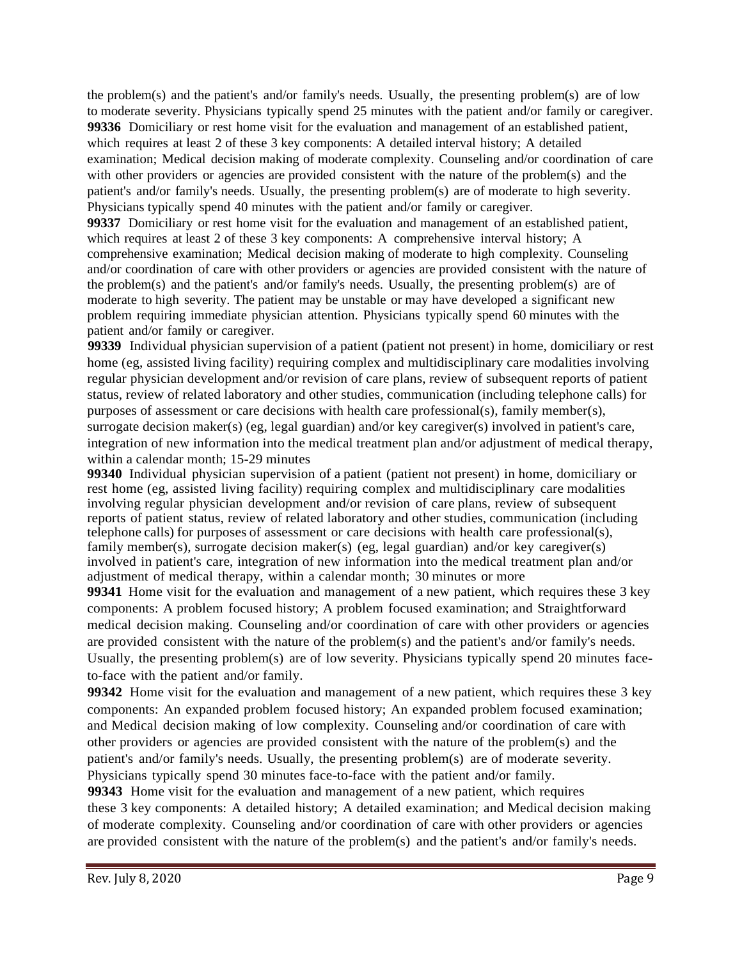the problem(s) and the patient's and/or family's needs. Usually, the presenting problem(s) are of low to moderate severity. Physicians typically spend 25 minutes with the patient and/or family or caregiver. **99336** Domiciliary or rest home visit for the evaluation and management of an established patient, which requires at least 2 of these 3 key components: A detailed interval history; A detailed examination; Medical decision making of moderate complexity. Counseling and/or coordination of care with other providers or agencies are provided consistent with the nature of the problem(s) and the patient's and/or family's needs. Usually, the presenting problem(s) are of moderate to high severity. Physicians typically spend 40 minutes with the patient and/or family or caregiver. **99337** Domiciliary or rest home visit for the evaluation and management of an established patient, which requires at least 2 of these 3 key components: A comprehensive interval history; A comprehensive examination; Medical decision making of moderate to high complexity. Counseling and/or coordination of care with other providers or agencies are provided consistent with the nature of the problem(s) and the patient's and/or family's needs. Usually, the presenting problem(s) are of moderate to high severity. The patient may be unstable or may have developed a significant new problem requiring immediate physician attention. Physicians typically spend 60 minutes with the patient and/or family or caregiver.

**99339** Individual physician supervision of a patient (patient not present) in home, domiciliary or rest home (eg, assisted living facility) requiring complex and multidisciplinary care modalities involving regular physician development and/or revision of care plans, review of subsequent reports of patient status, review of related laboratory and other studies, communication (including telephone calls) for purposes of assessment or care decisions with health care professional(s), family member(s), surrogate decision maker(s) (eg, legal guardian) and/or key caregiver(s) involved in patient's care, integration of new information into the medical treatment plan and/or adjustment of medical therapy, within a calendar month; 15-29 minutes

**99340** Individual physician supervision of a patient (patient not present) in home, domiciliary or rest home (eg, assisted living facility) requiring complex and multidisciplinary care modalities involving regular physician development and/or revision of care plans, review of subsequent reports of patient status, review of related laboratory and other studies, communication (including telephone calls) for purposes of assessment or care decisions with health care professional(s), family member(s), surrogate decision maker(s) (eg, legal guardian) and/or key caregiver(s) involved in patient's care, integration of new information into the medical treatment plan and/or adjustment of medical therapy, within a calendar month; 30 minutes or more

**99341** Home visit for the evaluation and management of a new patient, which requires these 3 key components: A problem focused history; A problem focused examination; and Straightforward medical decision making. Counseling and/or coordination of care with other providers or agencies are provided consistent with the nature of the problem(s) and the patient's and/or family's needs. Usually, the presenting problem(s) are of low severity. Physicians typically spend 20 minutes faceto-face with the patient and/or family.

**99342** Home visit for the evaluation and management of a new patient, which requires these 3 key components: An expanded problem focused history; An expanded problem focused examination; and Medical decision making of low complexity. Counseling and/or coordination of care with other providers or agencies are provided consistent with the nature of the problem(s) and the patient's and/or family's needs. Usually, the presenting problem(s) are of moderate severity. Physicians typically spend 30 minutes face-to-face with the patient and/or family.

**99343** Home visit for the evaluation and management of a new patient, which requires these 3 key components: A detailed history; A detailed examination; and Medical decision making of moderate complexity. Counseling and/or coordination of care with other providers or agencies are provided consistent with the nature of the problem(s) and the patient's and/or family's needs.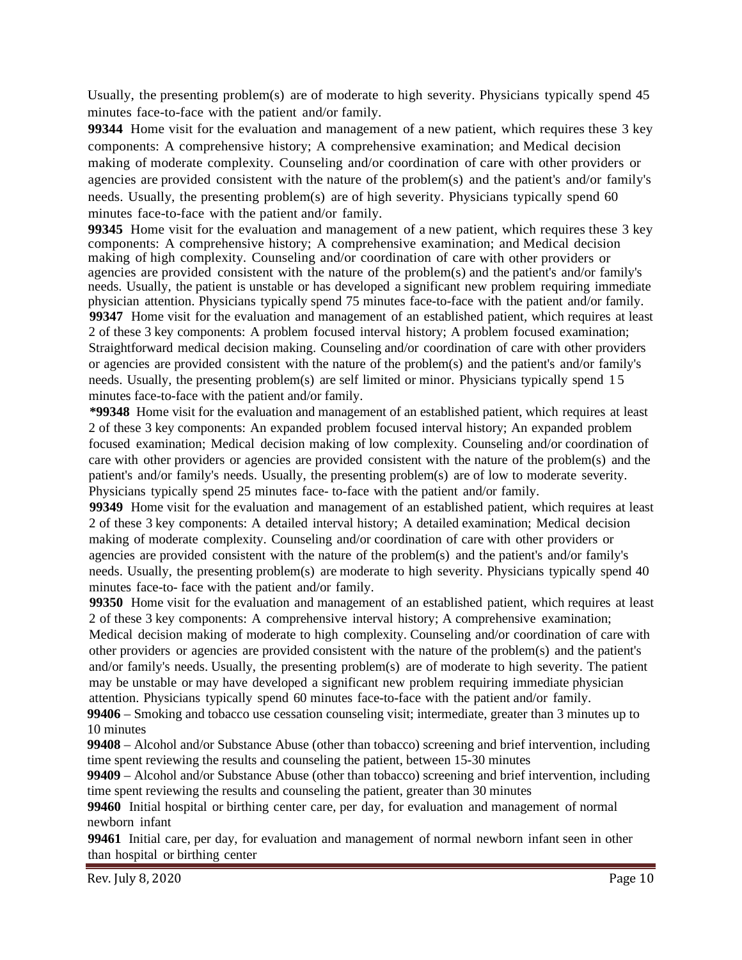Usually, the presenting problem(s) are of moderate to high severity. Physicians typically spend 45 minutes face-to-face with the patient and/or family.

**99344** Home visit for the evaluation and management of a new patient, which requires these 3 key components: A comprehensive history; A comprehensive examination; and Medical decision making of moderate complexity. Counseling and/or coordination of care with other providers or agencies are provided consistent with the nature of the problem(s) and the patient's and/or family's needs. Usually, the presenting problem(s) are of high severity. Physicians typically spend 60 minutes face-to-face with the patient and/or family.

**99345** Home visit for the evaluation and management of a new patient, which requires these 3 key components: A comprehensive history; A comprehensive examination; and Medical decision making of high complexity. Counseling and/or coordination of care with other providers or agencies are provided consistent with the nature of the problem(s) and the patient's and/or family's needs. Usually, the patient is unstable or has developed a significant new problem requiring immediate physician attention. Physicians typically spend 75 minutes face-to-face with the patient and/or family. **99347** Home visit for the evaluation and management of an established patient, which requires at least 2 of these 3 key components: A problem focused interval history; A problem focused examination; Straightforward medical decision making. Counseling and/or coordination of care with other providers or agencies are provided consistent with the nature of the problem(s) and the patient's and/or family's needs. Usually, the presenting problem(s) are self limited or minor. Physicians typically spend 1 5 minutes face-to-face with the patient and/or family.

**\*99348** Home visit for the evaluation and management of an established patient, which requires at least 2 of these 3 key components: An expanded problem focused interval history; An expanded problem focused examination; Medical decision making of low complexity. Counseling and/or coordination of care with other providers or agencies are provided consistent with the nature of the problem(s) and the patient's and/or family's needs. Usually, the presenting problem(s) are of low to moderate severity. Physicians typically spend 25 minutes face- to-face with the patient and/or family.

**99349** Home visit for the evaluation and management of an established patient, which requires at least 2 of these 3 key components: A detailed interval history; A detailed examination; Medical decision making of moderate complexity. Counseling and/or coordination of care with other providers or agencies are provided consistent with the nature of the problem(s) and the patient's and/or family's needs. Usually, the presenting problem(s) are moderate to high severity. Physicians typically spend 40 minutes face-to- face with the patient and/or family.

**99350** Home visit for the evaluation and management of an established patient, which requires at least 2 of these 3 key components: A comprehensive interval history; A comprehensive examination; Medical decision making of moderate to high complexity. Counseling and/or coordination of care with other providers or agencies are provided consistent with the nature of the problem(s) and the patient's and/or family's needs. Usually, the presenting problem(s) are of moderate to high severity. The patient may be unstable or may have developed a significant new problem requiring immediate physician attention. Physicians typically spend 60 minutes face-to-face with the patient and/or family. **99406** – Smoking and tobacco use cessation counseling visit; intermediate, greater than 3 minutes up to

10 minutes

**99408** – Alcohol and/or Substance Abuse (other than tobacco) screening and brief intervention, including time spent reviewing the results and counseling the patient, between 15-30 minutes

**99409** – Alcohol and/or Substance Abuse (other than tobacco) screening and brief intervention, including time spent reviewing the results and counseling the patient, greater than 30 minutes

**99460** Initial hospital or birthing center care, per day, for evaluation and management of normal newborn infant

**99461** Initial care, per day, for evaluation and management of normal newborn infant seen in other than hospital or birthing center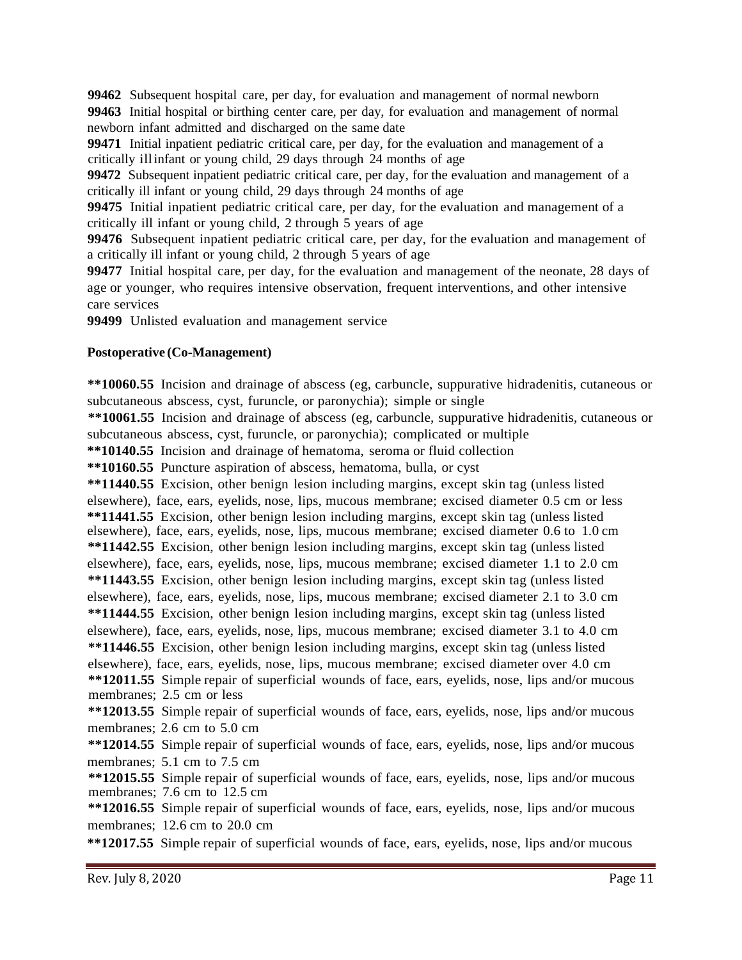**99462** Subsequent hospital care, per day, for evaluation and management of normal newborn **99463** Initial hospital or birthing center care, per day, for evaluation and management of normal newborn infant admitted and discharged on the same date

**99471** Initial inpatient pediatric critical care, per day, for the evaluation and management of a critically illinfant or young child, 29 days through 24 months of age

**99472** Subsequent inpatient pediatric critical care, per day, for the evaluation and management of a critically ill infant or young child, 29 days through 24 months of age

**99475** Initial inpatient pediatric critical care, per day, for the evaluation and management of a critically ill infant or young child, 2 through 5 years of age

**99476** Subsequent inpatient pediatric critical care, per day, for the evaluation and management of a critically ill infant or young child, 2 through 5 years of age

**99477** Initial hospital care, per day, for the evaluation and management of the neonate, 28 days of age or younger, who requires intensive observation, frequent interventions, and other intensive care services

**99499** Unlisted evaluation and management service

#### **Postoperative (Co-Management)**

**\*\*10060.55** Incision and drainage of abscess (eg, carbuncle, suppurative hidradenitis, cutaneous or subcutaneous abscess, cyst, furuncle, or paronychia); simple or single

**\*\*10061.55** Incision and drainage of abscess (eg, carbuncle, suppurative hidradenitis, cutaneous or subcutaneous abscess, cyst, furuncle, or paronychia); complicated or multiple

**\*\*10140.55** Incision and drainage of hematoma, seroma or fluid collection

**\*\*10160.55** Puncture aspiration of abscess, hematoma, bulla, or cyst

**\*\*11440.55** Excision, other benign lesion including margins, except skin tag (unless listed elsewhere), face, ears, eyelids, nose, lips, mucous membrane; excised diameter 0.5 cm or less **\*\*11441.55** Excision, other benign lesion including margins, except skin tag (unless listed elsewhere), face, ears, eyelids, nose, lips, mucous membrane; excised diameter 0.6 to 1.0 cm **\*\*11442.55** Excision, other benign lesion including margins, except skin tag (unless listed elsewhere), face, ears, eyelids, nose, lips, mucous membrane; excised diameter 1.1 to 2.0 cm **\*\*11443.55** Excision, other benign lesion including margins, except skin tag (unless listed elsewhere), face, ears, eyelids, nose, lips, mucous membrane; excised diameter 2.1 to 3.0 cm **\*\*11444.55** Excision, other benign lesion including margins, except skin tag (unless listed elsewhere), face, ears, eyelids, nose, lips, mucous membrane; excised diameter 3.1 to 4.0 cm **\*\*11446.55** Excision, other benign lesion including margins, except skin tag (unless listed elsewhere), face, ears, eyelids, nose, lips, mucous membrane; excised diameter over 4.0 cm **\*\*12011.55** Simple repair of superficial wounds of face, ears, eyelids, nose, lips and/or mucous membranes; 2.5 cm or less **\*\*12013.55** Simple repair of superficial wounds of face, ears, eyelids, nose, lips and/or mucous

membranes; 2.6 cm to 5.0 cm

**\*\*12014.55** Simple repair of superficial wounds of face, ears, eyelids, nose, lips and/or mucous membranes; 5.1 cm to 7.5 cm

**\*\*12015.55** Simple repair of superficial wounds of face, ears, eyelids, nose, lips and/or mucous membranes; 7.6 cm to 12.5 cm

**\*\*12016.55** Simple repair of superficial wounds of face, ears, eyelids, nose, lips and/or mucous membranes; 12.6 cm to 20.0 cm

**\*\*12017.55** Simple repair of superficial wounds of face, ears, eyelids, nose, lips and/or mucous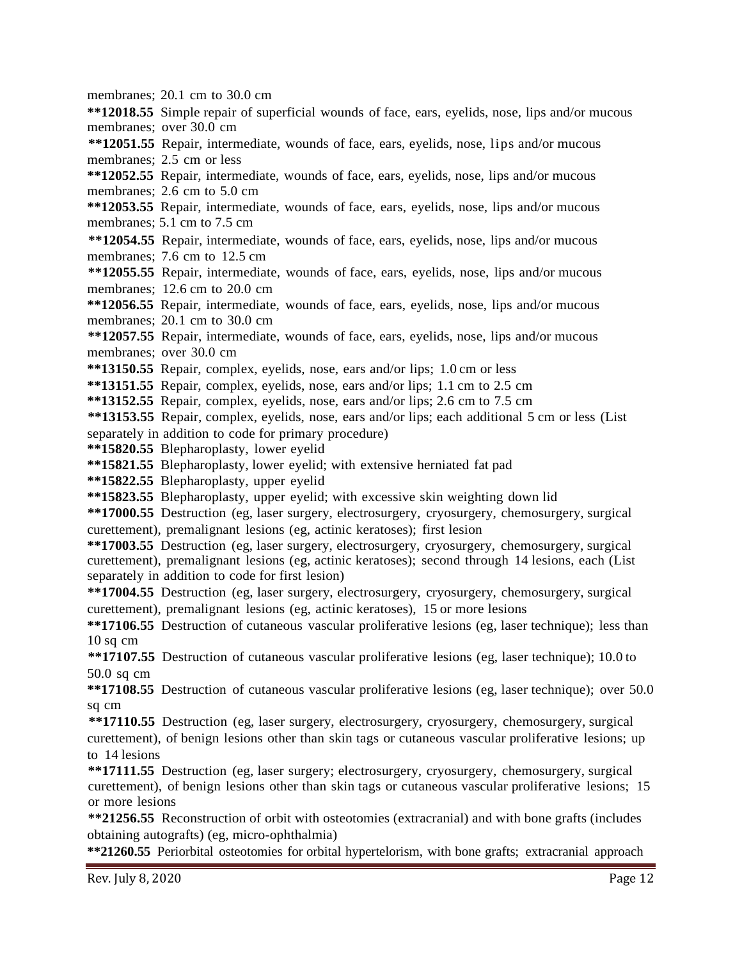membranes; 20.1 cm to 30.0 cm **\*\*12018.55** Simple repair of superficial wounds of face, ears, eyelids, nose, lips and/or mucous membranes; over 30.0 cm **\*\*12051.55** Repair, intermediate, wounds of face, ears, eyelids, nose, lips and/or mucous membranes; 2.5 cm or less **\*\*12052.55** Repair, intermediate, wounds of face, ears, eyelids, nose, lips and/or mucous membranes; 2.6 cm to 5.0 cm **\*\*12053.55** Repair, intermediate, wounds of face, ears, eyelids, nose, lips and/or mucous membranes; 5.1 cm to 7.5 cm **\*\*12054.55** Repair, intermediate, wounds of face, ears, eyelids, nose, lips and/or mucous membranes; 7.6 cm to 12.5 cm **\*\*12055.55** Repair, intermediate, wounds of face, ears, eyelids, nose, lips and/or mucous membranes; 12.6 cm to 20.0 cm **\*\*12056.55** Repair, intermediate, wounds of face, ears, eyelids, nose, lips and/or mucous membranes; 20.1 cm to 30.0 cm **\*\*12057.55** Repair, intermediate, wounds of face, ears, eyelids, nose, lips and/or mucous membranes; over 30.0 cm **\*\*13150.55** Repair, complex, eyelids, nose, ears and/or lips; 1.0 cm or less **\*\*13151.55** Repair, complex, eyelids, nose, ears and/or lips; 1.1 cm to 2.5 cm **\*\*13152.55** Repair, complex, eyelids, nose, ears and/or lips; 2.6 cm to 7.5 cm **\*\*13153.55** Repair, complex, eyelids, nose, ears and/or lips; each additional 5 cm or less (List separately in addition to code for primary procedure) **\*\*15820.55** Blepharoplasty, lower eyelid **\*\*15821.55** Blepharoplasty, lower eyelid; with extensive herniated fat pad **\*\*15822.55** Blepharoplasty, upper eyelid **\*\*15823.55** Blepharoplasty, upper eyelid; with excessive skin weighting down lid **\*\*17000.55** Destruction (eg, laser surgery, electrosurgery, cryosurgery, chemosurgery, surgical curettement), premalignant lesions (eg, actinic keratoses); first lesion **\*\*17003.55** Destruction (eg, laser surgery, electrosurgery, cryosurgery, chemosurgery, surgical curettement), premalignant lesions (eg, actinic keratoses); second through 14 lesions, each (List separately in addition to code for first lesion) **\*\*17004.55** Destruction (eg, laser surgery, electrosurgery, cryosurgery, chemosurgery, surgical curettement), premalignant lesions (eg, actinic keratoses), 15 or more lesions **\*\*17106.55** Destruction of cutaneous vascular proliferative lesions (eg, laser technique); less than  $10$  sq cm **\*\*17107.55** Destruction of cutaneous vascular proliferative lesions (eg, laser technique); 10.0 to 50.0 sq cm **\*\*17108.55** Destruction of cutaneous vascular proliferative lesions (eg, laser technique); over 50.0 sq cm **\*\*17110.55** Destruction (eg, laser surgery, electrosurgery, cryosurgery, chemosurgery, surgical curettement), of benign lesions other than skin tags or cutaneous vascular proliferative lesions; up to 14 lesions **\*\*17111.55** Destruction (eg, laser surgery; electrosurgery, cryosurgery, chemosurgery, surgical curettement), of benign lesions other than skin tags or cutaneous vascular proliferative lesions; 15 or more lesions **\*\*21256.55** Reconstruction of orbit with osteotomies (extracranial) and with bone grafts (includes obtaining autografts) (eg, micro-ophthalmia)

**\*\*21260.55** Periorbital osteotomies for orbital hypertelorism, with bone grafts; extracranial approach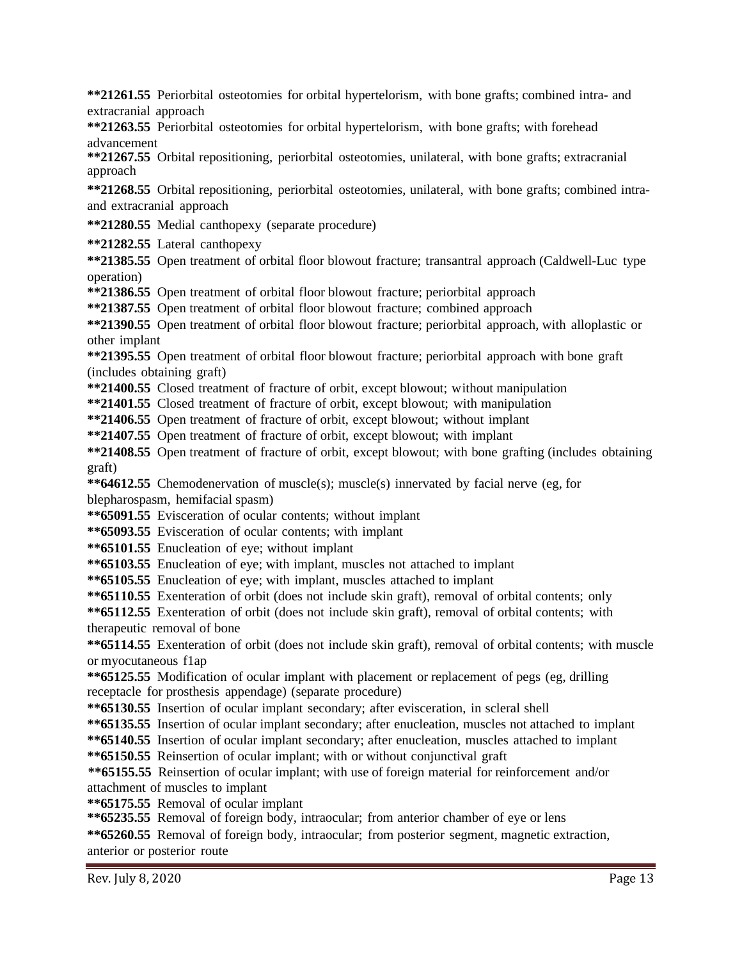**\*\*21261.55** Periorbital osteotomies for orbital hypertelorism, with bone grafts; combined intra- and extracranial approach

**\*\*21263.55** Periorbital osteotomies for orbital hypertelorism, with bone grafts; with forehead advancement

**\*\*21267.55** Orbital repositioning, periorbital osteotomies, unilateral, with bone grafts; extracranial approach

**\*\*21268.55** Orbital repositioning, periorbital osteotomies, unilateral, with bone grafts; combined intraand extracranial approach

**\*\*21280.55** Medial canthopexy (separate procedure)

**\*\*21282.55** Lateral canthopexy

**\*\*21385.55** Open treatment of orbital floor blowout fracture; transantral approach (Caldwell-Luc type operation)

**\*\*21386.55** Open treatment of orbital floor blowout fracture; periorbital approach

**\*\*21387.55** Open treatment of orbital floor blowout fracture; combined approach

**\*\*21390.55** Open treatment of orbital floor blowout fracture; periorbital approach, with alloplastic or other implant

**\*\*21395.55** Open treatment of orbital floor blowout fracture; periorbital approach with bone graft (includes obtaining graft)

**\*\*21400.55** Closed treatment of fracture of orbit, except blowout; without manipulation

**\*\*21401.55** Closed treatment of fracture of orbit, except blowout; with manipulation

**\*\*21406.55** Open treatment of fracture of orbit, except blowout; without implant

**\*\*21407.55** Open treatment of fracture of orbit, except blowout; with implant

**\*\*21408.55** Open treatment of fracture of orbit, except blowout; with bone grafting (includes obtaining graft)

**\*\*64612.55** Chemodenervation of muscle(s); muscle(s) innervated by facial nerve (eg, for blepharospasm, hemifacial spasm)

**\*\*65091.55** Evisceration of ocular contents; without implant

**\*\*65093.55** Evisceration of ocular contents; with implant

**\*\*65101.55** Enucleation of eye; without implant

**\*\*65103.55** Enucleation of eye; with implant, muscles not attached to implant

**\*\*65105.55** Enucleation of eye; with implant, muscles attached to implant

**\*\*65110.55** Exenteration of orbit (does not include skin graft), removal of orbital contents; only

**\*\*65112.55** Exenteration of orbit (does not include skin graft), removal of orbital contents; with therapeutic removal of bone

**\*\*65114.55** Exenteration of orbit (does not include skin graft), removal of orbital contents; with muscle or myocutaneous f1ap

**\*\*65125.55** Modification of ocular implant with placement or replacement of pegs (eg, drilling receptacle for prosthesis appendage) (separate procedure)

**\*\*65130.55** Insertion of ocular implant secondary; after evisceration, in scleral shell

**\*\*65135.55** Insertion of ocular implant secondary; after enucleation, muscles not attached to implant

**\*\*65140.55** Insertion of ocular implant secondary; after enucleation, muscles attached to implant

**\*\*65150.55** Reinsertion of ocular implant; with or without conjunctival graft

**\*\*65155.55** Reinsertion of ocular implant; with use of foreign material for reinforcement and/or attachment of muscles to implant

**\*\*65175.55** Removal of ocular implant

**\*\*65235.55** Removal of foreign body, intraocular; from anterior chamber of eye or lens

**\*\*65260.55** Removal of foreign body, intraocular; from posterior segment, magnetic extraction, anterior or posterior route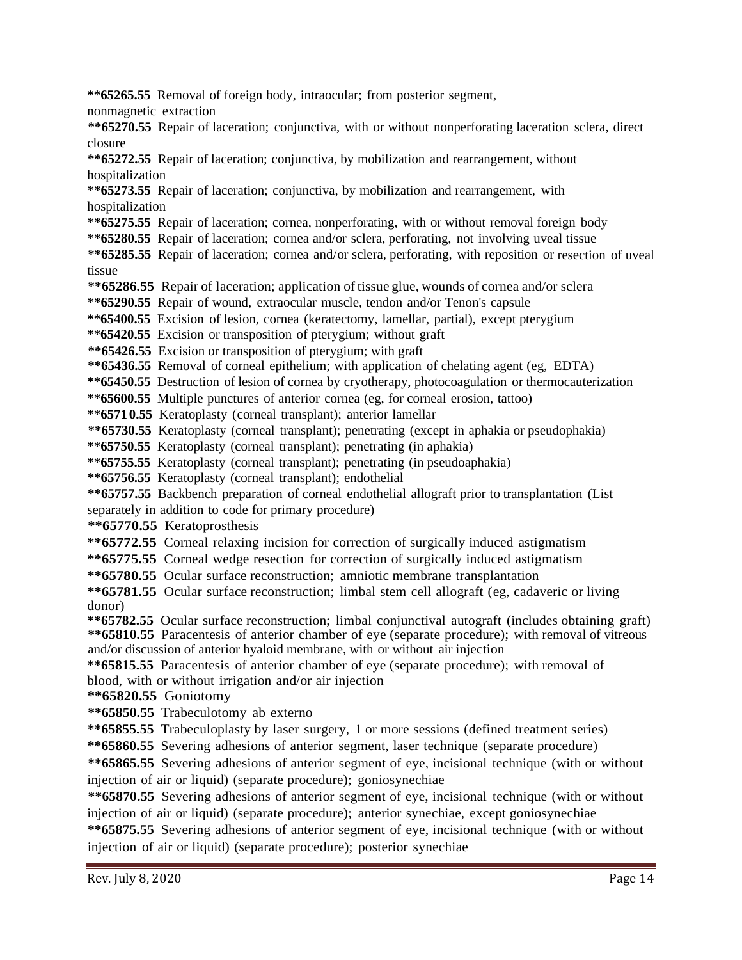**\*\*65265.55** Removal of foreign body, intraocular; from posterior segment, nonmagnetic extraction **\*\*65270.55** Repair of laceration; conjunctiva, with or without nonperforating laceration sclera, direct closure **\*\*65272.55** Repair of laceration; conjunctiva, by mobilization and rearrangement, without hospitalization **\*\*65273.55** Repair of laceration; conjunctiva, by mobilization and rearrangement, with hospitalization **\*\*65275.55** Repair of laceration; cornea, nonperforating, with or without removal foreign body **\*\*65280.55** Repair of laceration; cornea and/or sclera, perforating, not involving uveal tissue **\*\*65285.55** Repair of laceration; cornea and/or sclera, perforating, with reposition or resection of uveal tissue \*\*65286.55 Repair of laceration; application of tissue glue, wounds of cornea and/or sclera **\*\*65290.55** Repair of wound, extraocular muscle, tendon and/or Tenon's capsule **\*\*65400.55** Excision of lesion, cornea (keratectomy, lamellar, partial), except pterygium **\*\*65420.55** Excision or transposition of pterygium; without graft **\*\*65426.55** Excision or transposition of pterygium; with graft **\*\*65436.55** Removal of corneal epithelium; with application of chelating agent (eg, EDTA) **\*\*65450.55** Destruction of lesion of cornea by cryotherapy, photocoagulation or thermocauterization **\*\*65600.55** Multiple punctures of anterior cornea (eg, for corneal erosion, tattoo) **\*\*6571 0.55** Keratoplasty (corneal transplant); anterior lamellar **\*\*65730.55** Keratoplasty (corneal transplant); penetrating (except in aphakia or pseudophakia) **\*\*65750.55** Keratoplasty (corneal transplant); penetrating (in aphakia) **\*\*65755.55** Keratoplasty (corneal transplant); penetrating (in pseudoaphakia) **\*\*65756.55** Keratoplasty (corneal transplant); endothelial **\*\*65757.55** Backbench preparation of corneal endothelial allograft prior to transplantation (List separately in addition to code for primary procedure) **\*\*65770.55** Keratoprosthesis **\*\*65772.55** Corneal relaxing incision for correction of surgically induced astigmatism **\*\*65775.55** Corneal wedge resection for correction of surgically induced astigmatism **\*\*65780.55** Ocular surface reconstruction; amniotic membrane transplantation **\*\*65781.55** Ocular surface reconstruction; limbal stem cell allograft (eg, cadaveric or living donor) **\*\*65782.55** Ocular surface reconstruction; limbal conjunctival autograft (includes obtaining graft) **\*\*65810.55** Paracentesis of anterior chamber of eye (separate procedure); with removal of vitreous and/or discussion of anterior hyaloid membrane, with or without air injection **\*\*65815.55** Paracentesis of anterior chamber of eye (separate procedure); with removal of blood, with or without irrigation and/or air injection **\*\*65820.55** Goniotomy **\*\*65850.55** Trabeculotomy ab externo **\*\*65855.55** Trabeculoplasty by laser surgery, 1 or more sessions (defined treatment series) **\*\*65860.55** Severing adhesions of anterior segment, laser technique (separate procedure) **\*\*65865.55** Severing adhesions of anterior segment of eye, incisional technique (with or without injection of air or liquid) (separate procedure); goniosynechiae **\*\*65870.55** Severing adhesions of anterior segment of eye, incisional technique (with or without injection of air or liquid) (separate procedure); anterior synechiae, except goniosynechiae **\*\*65875.55** Severing adhesions of anterior segment of eye, incisional technique (with or without injection of air or liquid) (separate procedure); posterior synechiae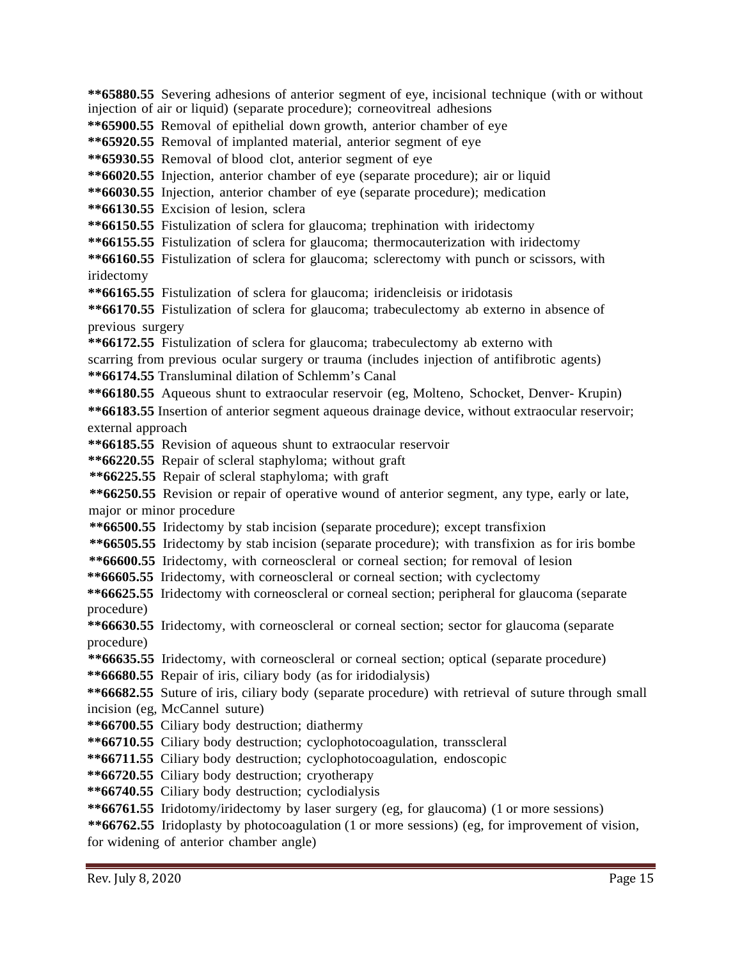**\*\*65880.55** Severing adhesions of anterior segment of eye, incisional technique (with or without injection of air or liquid) (separate procedure); corneovitreal adhesions **\*\*65900.55** Removal of epithelial down growth, anterior chamber of eye **\*\*65920.55** Removal of implanted material, anterior segment of eye **\*\*65930.55** Removal of blood clot, anterior segment of eye **\*\*66020.55** Injection, anterior chamber of eye (separate procedure); air or liquid **\*\*66030.55** Injection, anterior chamber of eye (separate procedure); medication **\*\*66130.55** Excision of lesion, sclera **\*\*66150.55** Fistulization of sclera for glaucoma; trephination with iridectomy **\*\*66155.55** Fistulization of sclera for glaucoma; thermocauterization with iridectomy **\*\*66160.55** Fistulization of sclera for glaucoma; sclerectomy with punch or scissors, with iridectomy **\*\*66165.55** Fistulization of sclera for glaucoma; iridencleisis or iridotasis **\*\*66170.55** Fistulization of sclera for glaucoma; trabeculectomy ab externo in absence of previous surgery **\*\*66172.55** Fistulization of sclera for glaucoma; trabeculectomy ab externo with scarring from previous ocular surgery or trauma (includes injection of antifibrotic agents) **\*\*66174.55** Transluminal dilation of Schlemm's Canal **\*\*66180.55** Aqueous shunt to extraocular reservoir (eg, Molteno, Schocket, Denver- Krupin) **\*\*66183.55** Insertion of anterior segment aqueous drainage device, without extraocular reservoir; external approach **\*\*66185.55** Revision of aqueous shunt to extraocular reservoir **\*\*66220.55** Repair of scleral staphyloma; without graft **\*\*66225.55** Repair of scleral staphyloma; with graft **\*\*66250.55** Revision or repair of operative wound of anterior segment, any type, early or late, major or minor procedure **\*\*66500.55** Iridectomy by stab incision (separate procedure); except transfixion **\*\*66505.55** Iridectomy by stab incision (separate procedure); with transfixion as for iris bombe **\*\*66600.55** Iridectomy, with corneoscleral or corneal section; for removal of lesion **\*\*66605.55** Iridectomy, with corneoscleral or corneal section; with cyclectomy **\*\*66625.55** Iridectomy with corneoscleral or corneal section; peripheral for glaucoma (separate procedure) **\*\*66630.55** Iridectomy, with corneoscleral or corneal section; sector for glaucoma (separate procedure) **\*\*66635.55** Iridectomy, with corneoscleral or corneal section; optical (separate procedure) **\*\*66680.55** Repair of iris, ciliary body (as for iridodialysis) **\*\*66682.55** Suture of iris, ciliary body (separate procedure) with retrieval of suture through small incision (eg, McCannel suture) **\*\*66700.55** Ciliary body destruction; diathermy **\*\*66710.55** Ciliary body destruction; cyclophotocoagulation, transscleral **\*\*66711.55** Ciliary body destruction; cyclophotocoagulation, endoscopic **\*\*66720.55** Ciliary body destruction; cryotherapy **\*\*66740.55** Ciliary body destruction; cyclodialysis **\*\*66761.55** Iridotomy/iridectomy by laser surgery (eg, for glaucoma) (1 or more sessions) **\*\*66762.55** Iridoplasty by photocoagulation (1 or more sessions) (eg, for improvement of vision, for widening of anterior chamber angle)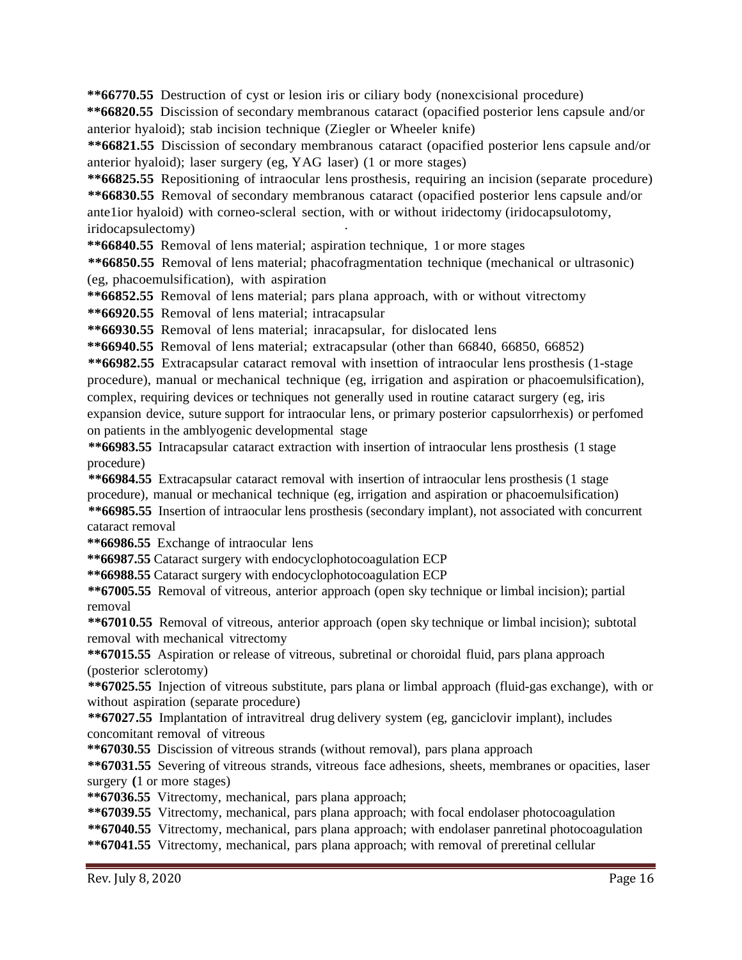**\*\*66770.55** Destruction of cyst or lesion iris or ciliary body (nonexcisional procedure)

**\*\*66820.55** Discission of secondary membranous cataract (opacified posterior lens capsule and/or anterior hyaloid); stab incision technique (Ziegler or Wheeler knife)

**\*\*66821.55** Discission of secondary membranous cataract (opacified posterior lens capsule and/or anterior hyaloid); laser surgery (eg, YAG laser) (1 or more stages)

**\*\*66825.55** Repositioning of intraocular lens prosthesis, requiring an incision (separate procedure) **\*\*66830.55** Removal of secondary membranous cataract (opacified posterior lens capsule and/or ante1ior hyaloid) with corneo-scleral section, with or without iridectomy (iridocapsulotomy, iridocapsulectomy)

**\*\*66840.55** Removal of lens material; aspiration technique, 1 or more stages

**\*\*66850.55** Removal of lens material; phacofragmentation technique (mechanical or ultrasonic) (eg, phacoemulsification), with aspiration

**\*\*66852.55** Removal of lens material; pars plana approach, with or without vitrectomy **\*\*66920.55** Removal of lens material; intracapsular

**\*\*66930.55** Removal of lens material; inracapsular, for dislocated lens

**\*\*66940.55** Removal of lens material; extracapsular (other than 66840, 66850, 66852)

**\*\*66982.55** Extracapsular cataract removal with insettion of intraocular lens prosthesis (1-stage procedure), manual or mechanical technique (eg, irrigation and aspiration or phacoemulsification), complex, requiring devices or techniques not generally used in routine cataract surgery (eg, iris expansion device, suture support for intraocular lens, or primary posterior capsulorrhexis) or perfomed on patients in the amblyogenic developmental stage

**\*\*66983.55** Intracapsular cataract extraction with insertion of intraocular lens prosthesis (1 stage procedure)

**\*\*66984.55** Extracapsular cataract removal with insertion of intraocular lens prosthesis (1 stage procedure), manual or mechanical technique (eg, irrigation and aspiration or phacoemulsification) **\*\*66985.55** Insertion of intraocular lens prosthesis (secondary implant), not associated with concurrent cataract removal

**\*\*66986.55** Exchange of intraocular lens

**\*\*66987.55** Cataract surgery with endocyclophotocoagulation ECP

**\*\*66988.55** Cataract surgery with endocyclophotocoagulation ECP

**\*\*67005.55** Removal of vitreous, anterior approach (open sky technique or limbal incision); partial removal

**\*\*67010.55** Removal of vitreous, anterior approach (open sky technique or limbal incision); subtotal removal with mechanical vitrectomy

**\*\*67015.55** Aspiration or release of vitreous, subretinal or choroidal fluid, pars plana approach (posterior sclerotomy)

**\*\*67025.55** Injection of vitreous substitute, pars plana or limbal approach (fluid-gas exchange), with or without aspiration (separate procedure)

**\*\*67027.55** Implantation of intravitreal drug delivery system (eg, ganciclovir implant), includes concomitant removal of vitreous

**\*\*67030.55** Discission of vitreous strands (without removal), pars plana approach

**\*\*67031.55** Severing of vitreous strands, vitreous face adhesions, sheets, membranes or opacities, laser surgery **(**1 or more stages)

**\*\*67036.55** Vitrectomy, mechanical, pars plana approach;

**\*\*67039.55** Vitrectomy, mechanical, pars plana approach; with focal endolaser photocoagulation

**\*\*67040.55** Vitrectomy, mechanical, pars plana approach; with endolaser panretinal photocoagulation **\*\*67041.55** Vitrectomy, mechanical, pars plana approach; with removal of preretinal cellular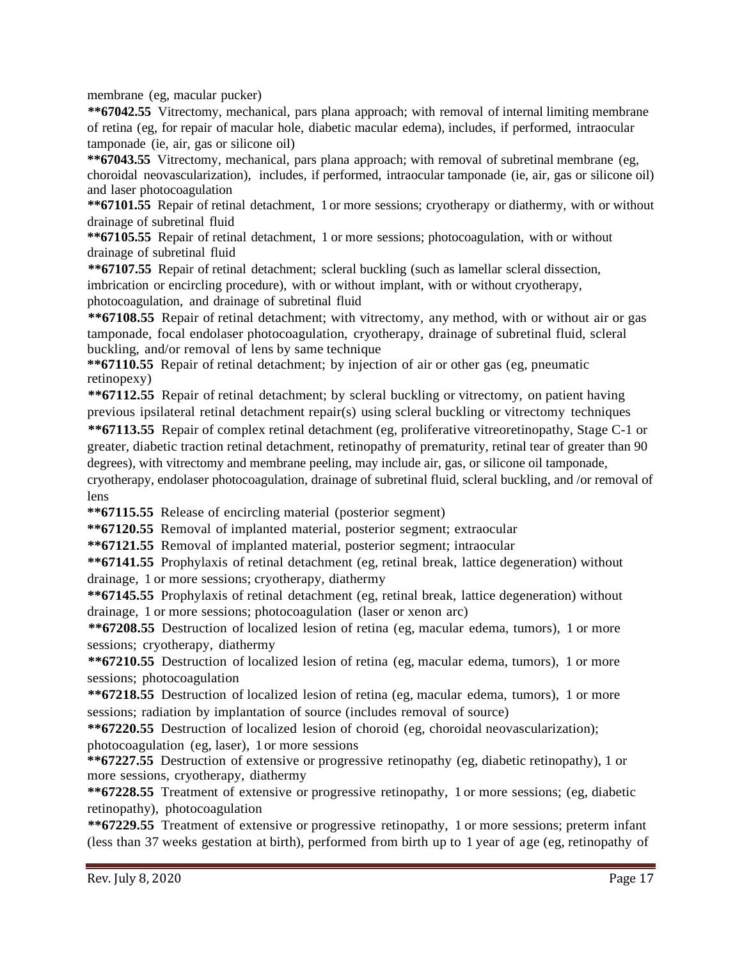membrane (eg, macular pucker)

**\*\*67042.55** Vitrectomy, mechanical, pars plana approach; with removal of internal limiting membrane of retina (eg, for repair of macular hole, diabetic macular edema), includes, if performed, intraocular tamponade (ie, air, gas or silicone oil)

**\*\*67043.55** Vitrectomy, mechanical, pars plana approach; with removal of subretinal membrane (eg, choroidal neovascularization), includes, if performed, intraocular tamponade (ie, air, gas or silicone oil) and laser photocoagulation

**\*\*67101.55** Repair of retinal detachment, 1 or more sessions; cryotherapy or diathermy, with or without drainage of subretinal fluid

**\*\*67105.55** Repair of retinal detachment, 1 or more sessions; photocoagulation, with or without drainage of subretinal fluid

**\*\*67107.55** Repair of retinal detachment; scleral buckling (such as lamellar scleral dissection, imbrication or encircling procedure), with or without implant, with or without cryotherapy, photocoagulation, and drainage of subretinal fluid

**\*\*67108.55** Repair of retinal detachment; with vitrectomy, any method, with or without air or gas tamponade, focal endolaser photocoagulation, cryotherapy, drainage of subretinal fluid, scleral buckling, and/or removal of lens by same technique

**\*\*67110.55** Repair of retinal detachment; by injection of air or other gas (eg, pneumatic retinopexy)

**\*\*67112.55** Repair of retinal detachment; by scleral buckling or vitrectomy, on patient having previous ipsilateral retinal detachment repair(s) using scleral buckling or vitrectomy techniques

**\*\*67113.55** Repair of complex retinal detachment (eg, proliferative vitreoretinopathy, Stage C-1 or greater, diabetic traction retinal detachment, retinopathy of prematurity, retinal tear of greater than 90 degrees), with vitrectomy and membrane peeling, may include air, gas, or silicone oil tamponade, cryotherapy, endolaser photocoagulation, drainage of subretinal fluid, scleral buckling, and /or removal of lens

**\*\*67115.55** Release of encircling material (posterior segment)

**\*\*67120.55** Removal of implanted material, posterior segment; extraocular

**\*\*67121.55** Removal of implanted material, posterior segment; intraocular

**\*\*67141.55** Prophylaxis of retinal detachment (eg, retinal break, lattice degeneration) without drainage, 1 or more sessions; cryotherapy, diathermy

**\*\*67145.55** Prophylaxis of retinal detachment (eg, retinal break, lattice degeneration) without drainage, 1 or more sessions; photocoagulation (laser or xenon arc)

**\*\*67208.55** Destruction of localized lesion of retina (eg, macular edema, tumors), 1 or more sessions; cryotherapy, diathermy

**\*\*67210.55** Destruction of localized lesion of retina (eg, macular edema, tumors), 1 or more sessions; photocoagulation

**\*\*67218.55** Destruction of localized lesion of retina (eg, macular edema, tumors), 1 or more sessions; radiation by implantation of source (includes removal of source)

**\*\*67220.55** Destruction of localized lesion of choroid (eg, choroidal neovascularization); photocoagulation (eg, laser), 1 or more sessions

**\*\*67227.55** Destruction of extensive or progressive retinopathy (eg, diabetic retinopathy), 1 or more sessions, cryotherapy, diathermy

**\*\*67228.55** Treatment of extensive or progressive retinopathy, 1 or more sessions; (eg, diabetic retinopathy), photocoagulation

**\*\*67229.55** Treatment of extensive or progressive retinopathy, 1 or more sessions; preterm infant (less than 37 weeks gestation at birth), performed from birth up to 1 year of age (eg, retinopathy of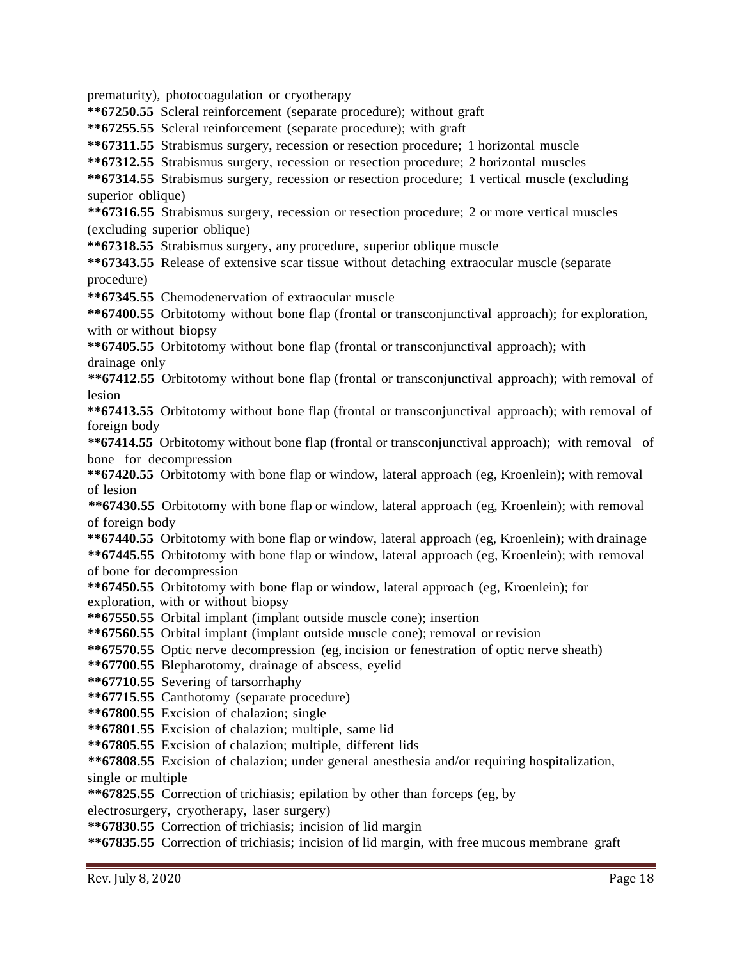prematurity), photocoagulation or cryotherapy

**\*\*67250.55** Scleral reinforcement (separate procedure); without graft

**\*\*67255.55** Scleral reinforcement (separate procedure); with graft

**\*\*67311.55** Strabismus surgery, recession or resection procedure; 1 horizontal muscle

**\*\*67312.55** Strabismus surgery, recession or resection procedure; 2 horizontal muscles

**\*\*67314.55** Strabismus surgery, recession or resection procedure; 1 vertical muscle (excluding superior oblique)

**\*\*67316.55** Strabismus surgery, recession or resection procedure; 2 or more vertical muscles (excluding superior oblique)

**\*\*67318.55** Strabismus surgery, any procedure, superior oblique muscle

**\*\*67343.55** Release of extensive scar tissue without detaching extraocular muscle (separate procedure)

**\*\*67345.55** Chemodenervation of extraocular muscle

**\*\*67400.55** Orbitotomy without bone flap (frontal or transconjunctival approach); for exploration, with or without biopsy

**\*\*67405.55** Orbitotomy without bone flap (frontal or transconjunctival approach); with drainage only

**\*\*67412.55** Orbitotomy without bone flap (frontal or transconjunctival approach); with removal of lesion

**\*\*67413.55** Orbitotomy without bone flap (frontal or transconjunctival approach); with removal of foreign body

**\*\*67414.55** Orbitotomy without bone flap (frontal or transconjunctival approach); with removal of bone for decompression

**\*\*67420.55** Orbitotomy with bone flap or window, lateral approach (eg, Kroenlein); with removal of lesion

**\*\*67430.55** Orbitotomy with bone flap or window, lateral approach (eg, Kroenlein); with removal of foreign body

**\*\*67440.55** Orbitotomy with bone flap or window, lateral approach (eg, Kroenlein); with drainage **\*\*67445.55** Orbitotomy with bone flap or window, lateral approach (eg, Kroenlein); with removal

of bone for decompression

**\*\*67450.55** Orbitotomy with bone flap or window, lateral approach (eg, Kroenlein); for

exploration, with or without biopsy

**\*\*67550.55** Orbital implant (implant outside muscle cone); insertion

**\*\*67560.55** Orbital implant (implant outside muscle cone); removal or revision

**\*\*67570.55** Optic nerve decompression (eg, incision or fenestration of optic nerve sheath)

**\*\*67700.55** Blepharotomy, drainage of abscess, eyelid

**\*\*67710.55** Severing of tarsorrhaphy

**\*\*67715.55** Canthotomy (separate procedure)

**\*\*67800.55** Excision of chalazion; single

**\*\*67801.55** Excision of chalazion; multiple, same lid

**\*\*67805.55** Excision of chalazion; multiple, different lids

**\*\*67808.55** Excision of chalazion; under general anesthesia and/or requiring hospitalization, single or multiple

**\*\*67825.55** Correction of trichiasis; epilation by other than forceps (eg, by

electrosurgery, cryotherapy, laser surgery)

**\*\*67830.55** Correction of trichiasis; incision of lid margin

**\*\*67835.55** Correction of trichiasis; incision of lid margin, with free mucous membrane graft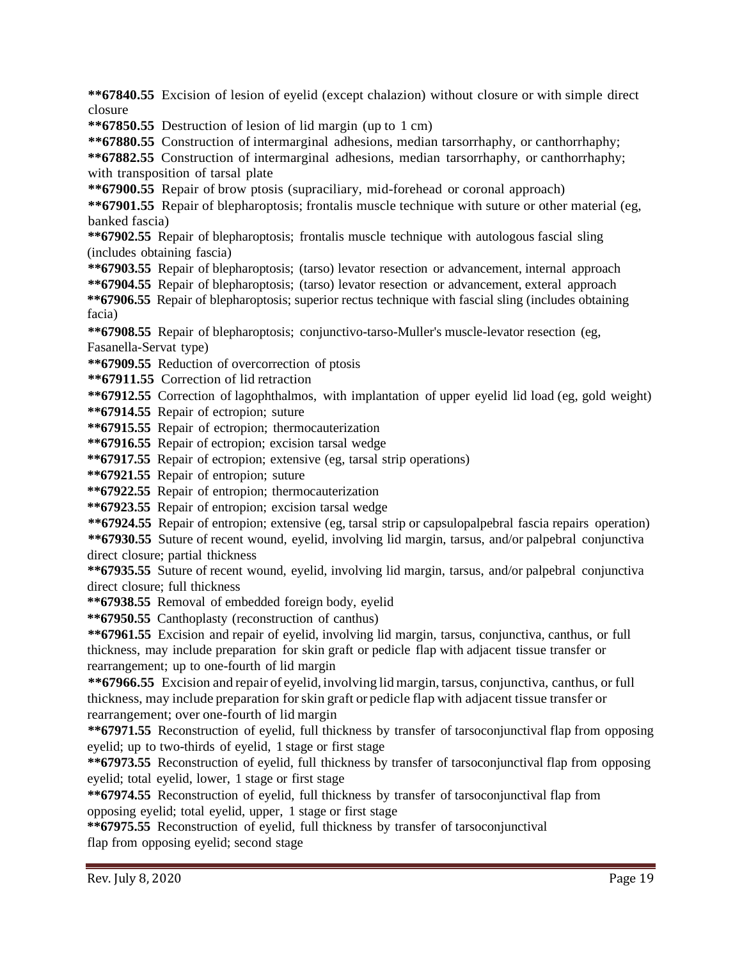**\*\*67840.55** Excision of lesion of eyelid (except chalazion) without closure or with simple direct closure

**\*\*67850.55** Destruction of lesion of lid margin (up to 1 cm)

**\*\*67880.55** Construction of intermarginal adhesions, median tarsorrhaphy, or canthorrhaphy;

**\*\*67882.55** Construction of intermarginal adhesions, median tarsorrhaphy, or canthorrhaphy; with transposition of tarsal plate

**\*\*67900.55** Repair of brow ptosis (supraciliary, mid-forehead or coronal approach)

**\*\*67901.55** Repair of blepharoptosis; frontalis muscle technique with suture or other material (eg, banked fascia)

**\*\*67902.55** Repair of blepharoptosis; frontalis muscle technique with autologous fascial sling (includes obtaining fascia)

**\*\*67903.55** Repair of blepharoptosis; (tarso) levator resection or advancement, internal approach

**\*\*67904.55** Repair of blepharoptosis; (tarso) levator resection or advancement, exteral approach

**\*\*67906.55** Repair of blepharoptosis; superior rectus technique with fascial sling (includes obtaining facia)

**\*\*67908.55** Repair of blepharoptosis; conjunctivo-tarso-Muller's muscle-levator resection (eg, Fasanella-Servat type)

**\*\*67909.55** Reduction of overcorrection of ptosis

**\*\*67911.55** Correction of lid retraction

**\*\*67912.55** Correction of lagophthalmos, with implantation of upper eyelid lid load (eg, gold weight)

**\*\*67914.55** Repair of ectropion; suture

**\*\*67915.55** Repair of ectropion; thermocauterization

**\*\*67916.55** Repair of ectropion; excision tarsal wedge

**\*\*67917.55** Repair of ectropion; extensive (eg, tarsal strip operations)

**\*\*67921.55** Repair of entropion; suture

**\*\*67922.55** Repair of entropion; thermocauterization

**\*\*67923.55** Repair of entropion; excision tarsal wedge

**\*\*67924.55** Repair of entropion; extensive (eg, tarsal strip or capsulopalpebral fascia repairs operation)

**\*\*67930.55** Suture of recent wound, eyelid, involving lid margin, tarsus, and/or palpebral conjunctiva direct closure; partial thickness

**\*\*67935.55** Suture of recent wound, eyelid, involving lid margin, tarsus, and/or palpebral conjunctiva direct closure; full thickness

**\*\*67938.55** Removal of embedded foreign body, eyelid

**\*\*67950.55** Canthoplasty (reconstruction of canthus)

**\*\*67961.55** Excision and repair of eyelid, involving lid margin, tarsus, conjunctiva, canthus, or full thickness, may include preparation for skin graft or pedicle flap with adjacent tissue transfer or rearrangement; up to one-fourth of lid margin

**\*\*67966.55** Excision and repair of eyelid, involving lid margin, tarsus, conjunctiva, canthus, or full thickness, may include preparation forskin graft or pedicle flap with adjacent tissue transfer or rearrangement; over one-fourth of lid margin

**\*\*67971.55** Reconstruction of eyelid, full thickness by transfer of tarsoconjunctival flap from opposing eyelid; up to two-thirds of eyelid, 1 stage or first stage

**\*\*67973.55** Reconstruction of eyelid, full thickness by transfer of tarsoconjunctival flap from opposing eyelid; total eyelid, lower, 1 stage or first stage

**\*\*67974.55** Reconstruction of eyelid, full thickness by transfer of tarsoconjunctival flap from opposing eyelid; total eyelid, upper, 1 stage or first stage

**\*\*67975.55** Reconstruction of eyelid, full thickness by transfer of tarsoconjunctival flap from opposing eyelid; second stage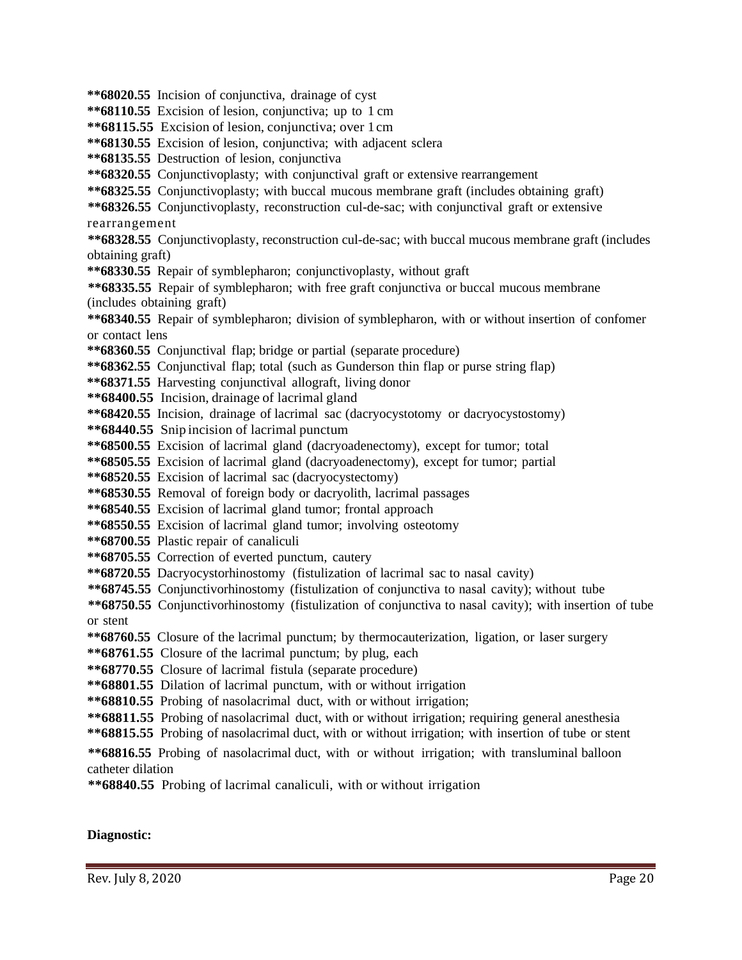**\*\*68020.55** Incision of conjunctiva, drainage of cyst **\*\*68110.55** Excision of lesion, conjunctiva; up to 1 cm **\*\*68115.55** Excision of lesion, conjunctiva; over 1cm **\*\*68130.55** Excision of lesion, conjunctiva; with adjacent sclera **\*\*68135.55** Destruction of lesion, conjunctiva **\*\*68320.55** Conjunctivoplasty; with conjunctival graft or extensive rearrangement **\*\*68325.55** Conjunctivoplasty; with buccal mucous membrane graft (includes obtaining graft) **\*\*68326.55** Conjunctivoplasty, reconstruction cul-de-sac; with conjunctival graft or extensive rearrangement **\*\*68328.55** Conjunctivoplasty, reconstruction cul-de-sac; with buccal mucous membrane graft (includes obtaining graft) **\*\*68330.55** Repair of symblepharon; conjunctivoplasty, without graft **\*\*68335.55** Repair of symblepharon; with free graft conjunctiva or buccal mucous membrane (includes obtaining graft) **\*\*68340.55** Repair of symblepharon; division of symblepharon, with or without insertion of confomer or contact lens **\*\*68360.55** Conjunctival flap; bridge or partial (separate procedure) **\*\*68362.55** Conjunctival flap; total (such as Gunderson thin flap or purse string flap) **\*\*68371.55** Harvesting conjunctival allograft, living donor **\*\*68400.55** Incision, drainage of lacrimal gland **\*\*68420.55** Incision, drainage of lacrimal sac (dacryocystotomy or dacryocystostomy) **\*\*68440.55** Snip incision of lacrimal punctum **\*\*68500.55** Excision of lacrimal gland (dacryoadenectomy), except for tumor; total **\*\*68505.55** Excision of lacrimal gland (dacryoadenectomy), except for tumor; partial **\*\*68520.55** Excision of lacrimal sac (dacryocystectomy) **\*\*68530.55** Removal of foreign body or dacryolith, lacrimal passages **\*\*68540.55** Excision of lacrimal gland tumor; frontal approach **\*\*68550.55** Excision of lacrimal gland tumor; involving osteotomy **\*\*68700.55** Plastic repair of canaliculi **\*\*68705.55** Correction of everted punctum, cautery **\*\*68720.55** Dacryocystorhinostomy (fistulization of lacrimal sac to nasal cavity) **\*\*68745.55** Conjunctivorhinostomy (fistulization of conjunctiva to nasal cavity); without tube **\*\*68750.55** Conjunctivorhinostomy (fistulization of conjunctiva to nasal cavity); with insertion of tube or stent **\*\*68760.55** Closure of the lacrimal punctum; by thermocauterization, ligation, or laser surgery **\*\*68761.55** Closure of the lacrimal punctum; by plug, each **\*\*68770.55** Closure of lacrimal fistula (separate procedure) **\*\*68801.55** Dilation of lacrimal punctum, with or without irrigation **\*\*68810.55** Probing of nasolacrimal duct, with or without irrigation; **\*\*68811.55** Probing of nasolacrimal duct, with or without irrigation; requiring general anesthesia **\*\*68815.55** Probing of nasolacrimal duct, with or without irrigation; with insertion of tube or stent **\*\*68816.55** Probing of nasolacrimal duct, with or without irrigation; with transluminal balloon catheter dilation **\*\*68840.55** Probing of lacrimal canaliculi, with or without irrigation

### **Diagnostic:**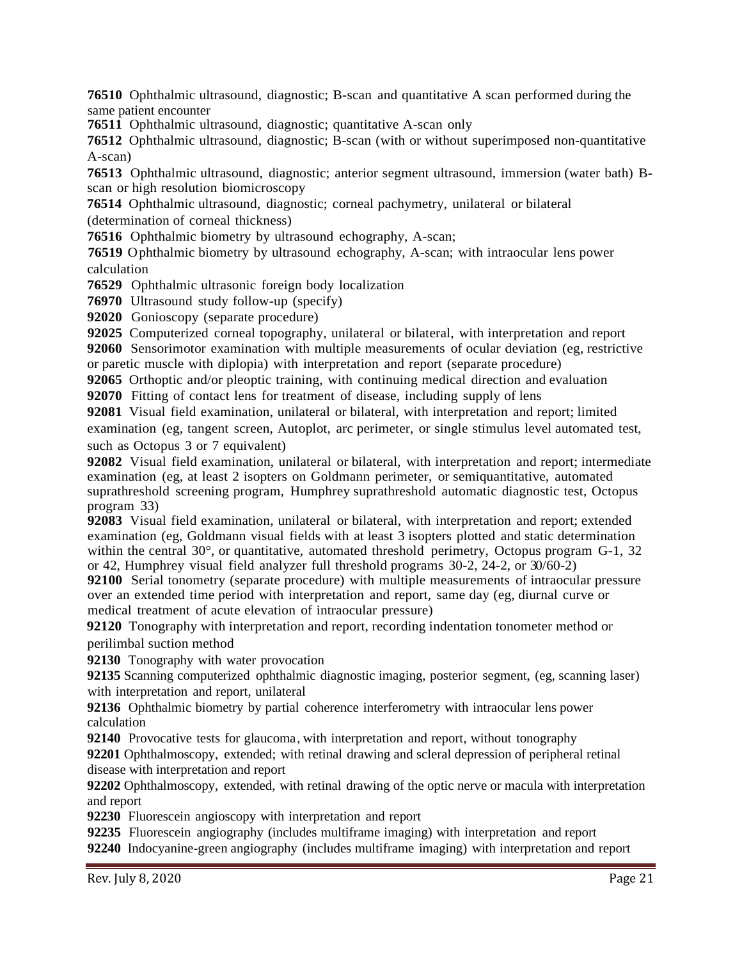**76510** Ophthalmic ultrasound, diagnostic; B-scan and quantitative A scan performed during the same patient encounter

**76511** Ophthalmic ultrasound, diagnostic; quantitative A-scan only

**76512** Ophthalmic ultrasound, diagnostic; B-scan (with or without superimposed non-quantitative A-scan)

**76513** Ophthalmic ultrasound, diagnostic; anterior segment ultrasound, immersion (water bath) Bscan or high resolution biomicroscopy

**76514** Ophthalmic ultrasound, diagnostic; corneal pachymetry, unilateral or bilateral (determination of corneal thickness)

**76516** Ophthalmic biometry by ultrasound echography, A-scan;

**76519** Ophthalmic biometry by ultrasound echography, A-scan; with intraocular lens power calculation

**76529** Ophthalmic ultrasonic foreign body localization

**76970** Ultrasound study follow-up (specify)

**92020** Gonioscopy (separate procedure)

**92025** Computerized corneal topography, unilateral or bilateral, with interpretation and report

**92060** Sensorimotor examination with multiple measurements of ocular deviation (eg, restrictive or paretic muscle with diplopia) with interpretation and report (separate procedure)

**92065** Orthoptic and/or pleoptic training, with continuing medical direction and evaluation **92070** Fitting of contact lens for treatment of disease, including supply of lens

**92081** Visual field examination, unilateral or bilateral, with interpretation and report; limited examination (eg, tangent screen, Autoplot, arc perimeter, or single stimulus level automated test, such as Octopus 3 or 7 equivalent)

**92082** Visual field examination, unilateral or bilateral, with interpretation and report; intermediate examination (eg, at least 2 isopters on Goldmann perimeter, or semiquantitative, automated suprathreshold screening program, Humphrey suprathreshold automatic diagnostic test, Octopus program 33)

**92083** Visual field examination, unilateral or bilateral, with interpretation and report; extended examination (eg, Goldmann visual fields with at least 3 isopters plotted and static determination within the central 30°, or quantitative, automated threshold perimetry, Octopus program G-1, 32 or 42, Humphrey visual field analyzer full threshold programs 30-2, 24-2, or 30/60-2)

**92100** Serial tonometry (separate procedure) with multiple measurements of intraocular pressure over an extended time period with interpretation and report, same day (eg, diurnal curve or medical treatment of acute elevation of intraocular pressure)

**92120** Tonography with interpretation and report, recording indentation tonometer method or perilimbal suction method

**92130** Tonography with water provocation

**92135** Scanning computerized ophthalmic diagnostic imaging, posterior segment, (eg, scanning laser) with interpretation and report, unilateral

**92136** Ophthalmic biometry by partial coherence interferometry with intraocular lens power calculation

**92140** Provocative tests for glaucoma, with interpretation and report, without tonography

**92201** Ophthalmoscopy, extended; with retinal drawing and scleral depression of peripheral retinal disease with interpretation and report

**92202** Ophthalmoscopy, extended, with retinal drawing of the optic nerve or macula with interpretation and report

**92230** Fluorescein angioscopy with interpretation and report

**92235** Fluorescein angiography (includes multiframe imaging) with interpretation and report

**92240** Indocyanine-green angiography (includes multiframe imaging) with interpretation and report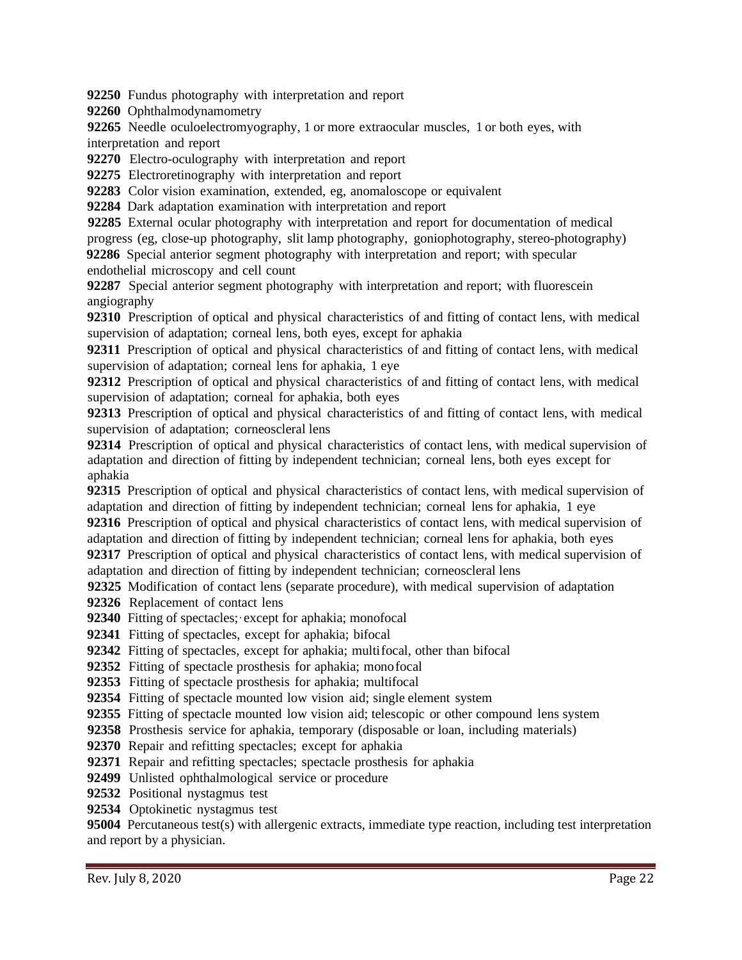Fundus photography with interpretation and report

Ophthalmodynamometry

Needle oculoelectromyography, 1 or more extraocular muscles, 1 or both eyes, with interpretation and report

Electro-oculography with interpretation and report

Electroretinography with interpretation and report

Color vision examination, extended, eg, anomaloscope or equivalent

Dark adaptation examination with interpretation and report

External ocular photography with interpretation and report for documentation of medical progress (eg, close-up photography, slit lamp photography, goniophotography, stereo-photography) Special anterior segment photography with interpretation and report; with specular

endothelial microscopy and cell count

Special anterior segment photography with interpretation and report; with fluorescein angiography

Prescription of optical and physical characteristics of and fitting of contact lens, with medical supervision of adaptation; corneal lens, both eyes, except for aphakia

Prescription of optical and physical characteristics of and fitting of contact lens, with medical supervision of adaptation; corneal lens for aphakia, 1 eye

Prescription of optical and physical characteristics of and fitting of contact lens, with medical supervision of adaptation; corneal for aphakia, both eyes

Prescription of optical and physical characteristics of and fitting of contact lens, with medical supervision of adaptation; corneoscleral lens

Prescription of optical and physical characteristics of contact lens, with medical supervision of adaptation and direction of fitting by independent technician; corneal lens, both eyes except for aphakia

 Prescription of optical and physical characteristics of contact lens, with medical supervision of adaptation and direction of fitting by independent technician; corneal lens for aphakia, 1 eye

Prescription of optical and physical characteristics of contact lens, with medical supervision of adaptation and direction of fitting by independent technician; corneal lens for aphakia, both eyes

Prescription of optical and physical characteristics of contact lens, with medical supervision of adaptation and direction of fitting by independent technician; corneoscleral lens

Modification of contact lens (separate procedure), with medical supervision of adaptation

Replacement of contact lens

Fitting of spectacles;· except for aphakia; monofocal

Fitting of spectacles, except for aphakia; bifocal

Fitting of spectacles, except for aphakia; multifocal, other than bifocal

Fitting of spectacle prosthesis for aphakia; monofocal

Fitting of spectacle prosthesis for aphakia; multifocal

Fitting of spectacle mounted low vision aid; single element system

Fitting of spectacle mounted low vision aid; telescopic or other compound lens system

Prosthesis service for aphakia, temporary (disposable or loan, including materials)

Repair and refitting spectacles; except for aphakia

Repair and refitting spectacles; spectacle prosthesis for aphakia

Unlisted ophthalmological service or procedure

Positional nystagmus test

Optokinetic nystagmus test

 Percutaneous test(s) with allergenic extracts, immediate type reaction, including test interpretation and report by a physician.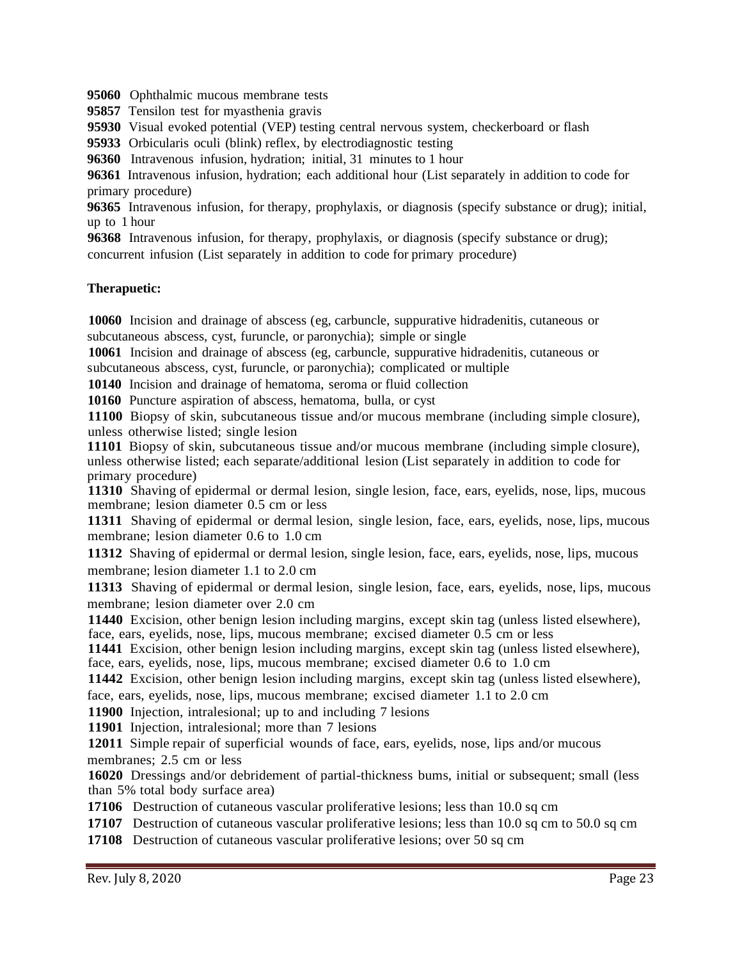**95060** Ophthalmic mucous membrane tests

**95857** Tensilon test for myasthenia gravis

**95930** Visual evoked potential (VEP) testing central nervous system, checkerboard or flash

**95933** Orbicularis oculi (blink) reflex, by electrodiagnostic testing

**96360** Intravenous infusion, hydration; initial, 31 minutes to 1 hour

**96361** Intravenous infusion, hydration; each additional hour (List separately in addition to code for primary procedure)

**96365** Intravenous infusion, for therapy, prophylaxis, or diagnosis (specify substance or drug); initial, up to 1 hour

**96368** Intravenous infusion, for therapy, prophylaxis, or diagnosis (specify substance or drug); concurrent infusion (List separately in addition to code for primary procedure)

### **Therapuetic:**

**10060** Incision and drainage of abscess (eg, carbuncle, suppurative hidradenitis, cutaneous or subcutaneous abscess, cyst, furuncle, or paronychia); simple or single

**10061** Incision and drainage of abscess (eg, carbuncle, suppurative hidradenitis, cutaneous or subcutaneous abscess, cyst, furuncle, or paronychia); complicated or multiple

**10140** Incision and drainage of hematoma, seroma or fluid collection

**10160** Puncture aspiration of abscess, hematoma, bulla, or cyst

**11100** Biopsy of skin, subcutaneous tissue and/or mucous membrane (including simple closure), unless otherwise listed; single lesion

**11101** Biopsy of skin, subcutaneous tissue and/or mucous membrane (including simple closure), unless otherwise listed; each separate/additional lesion (List separately in addition to code for primary procedure)

**11310** Shaving of epidermal or dermal lesion, single lesion, face, ears, eyelids, nose, lips, mucous membrane; lesion diameter 0.5 cm or less

**11311** Shaving of epidermal or dermal lesion, single lesion, face, ears, eyelids, nose, lips, mucous membrane; lesion diameter 0.6 to 1.0 cm

**11312** Shaving of epidermal or dermal lesion, single lesion, face, ears, eyelids, nose, lips, mucous membrane; lesion diameter 1.1 to 2.0 cm

**11313** Shaving of epidermal or dermal lesion, single lesion, face, ears, eyelids, nose, lips, mucous membrane; lesion diameter over 2.0 cm

**11440** Excision, other benign lesion including margins, except skin tag (unless listed elsewhere), face, ears, eyelids, nose, lips, mucous membrane; excised diameter 0.5 cm or less

**11441** Excision, other benign lesion including margins, except skin tag (unless listed elsewhere), face, ears, eyelids, nose, lips, mucous membrane; excised diameter 0.6 to 1.0 cm

**11442** Excision, other benign lesion including margins, except skin tag (unless listed elsewhere), face, ears, eyelids, nose, lips, mucous membrane; excised diameter 1.1 to 2.0 cm

**11900** Injection, intralesional; up to and including 7 lesions

**11901** Injection, intralesional; more than 7 lesions

**12011** Simple repair of superficial wounds of face, ears, eyelids, nose, lips and/or mucous membranes; 2.5 cm or less

**16020** Dressings and/or debridement of partial-thickness bums, initial or subsequent; small (less than 5% total body surface area)

**17106** Destruction of cutaneous vascular proliferative lesions; less than 10.0 sq cm

**17107** Destruction of cutaneous vascular proliferative lesions; less than 10.0 sq cm to 50.0 sq cm

**17108** Destruction of cutaneous vascular proliferative lesions; over 50 sq cm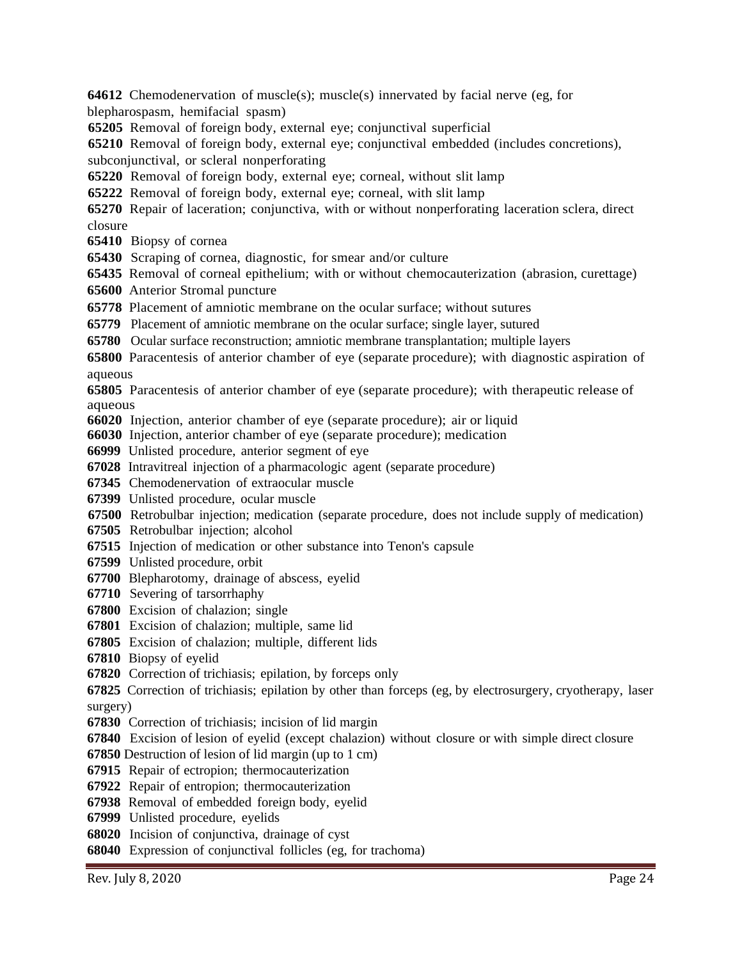Chemodenervation of muscle(s); muscle(s) innervated by facial nerve (eg, for blepharospasm, hemifacial spasm)

Removal of foreign body, external eye; conjunctival superficial

Removal of foreign body, external eye; conjunctival embedded (includes concretions), subconjunctival, or scleral nonperforating

Removal of foreign body, external eye; corneal, without slit lamp

Removal of foreign body, external eye; corneal, with slit lamp

Repair of laceration; conjunctiva, with or without nonperforating laceration sclera, direct closure

Biopsy of cornea

Scraping of cornea, diagnostic, for smear and/or culture

Removal of corneal epithelium; with or without chemocauterization (abrasion, curettage)

Anterior Stromal puncture

Placement of amniotic membrane on the ocular surface; without sutures

Placement of amniotic membrane on the ocular surface; single layer, sutured

Ocular surface reconstruction; amniotic membrane transplantation; multiple layers

Paracentesis of anterior chamber of eye (separate procedure); with diagnostic aspiration of aqueous

Paracentesis of anterior chamber of eye (separate procedure); with therapeutic release of aqueous

Injection, anterior chamber of eye (separate procedure); air or liquid

Injection, anterior chamber of eye (separate procedure); medication

Unlisted procedure, anterior segment of eye

Intravitreal injection of a pharmacologic agent (separate procedure)

Chemodenervation of extraocular muscle

Unlisted procedure, ocular muscle

Retrobulbar injection; medication (separate procedure, does not include supply of medication)

Retrobulbar injection; alcohol

Injection of medication or other substance into Tenon's capsule

Unlisted procedure, orbit

Blepharotomy, drainage of abscess, eyelid

Severing of tarsorrhaphy

Excision of chalazion; single

Excision of chalazion; multiple, same lid

Excision of chalazion; multiple, different lids

Biopsy of eyelid

Correction of trichiasis; epilation, by forceps only

Correction of trichiasis; epilation by other than forceps (eg, by electrosurgery, cryotherapy, laser surgery)

Correction of trichiasis; incision of lid margin

Excision of lesion of eyelid (except chalazion) without closure or with simple direct closure

Destruction of lesion of lid margin (up to 1 cm)

Repair of ectropion; thermocauterization

Repair of entropion; thermocauterization

Removal of embedded foreign body, eyelid

Unlisted procedure, eyelids

Incision of conjunctiva, drainage of cyst

Expression of conjunctival follicles (eg, for trachoma)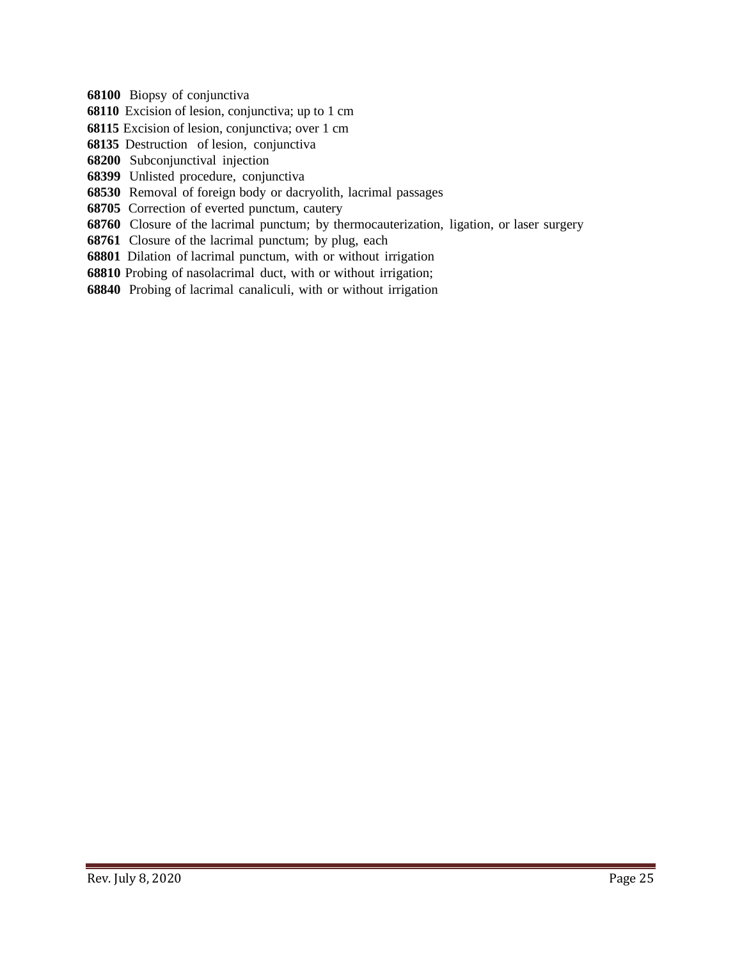- Biopsy of conjunctiva
- Excision of lesion, conjunctiva; up to 1 cm
- Excision of lesion, conjunctiva; over 1 cm
- Destruction of lesion, conjunctiva
- Subconjunctival injection
- Unlisted procedure, conjunctiva
- Removal of foreign body or dacryolith, lacrimal passages
- Correction of everted punctum, cautery
- Closure of the lacrimal punctum; by thermocauterization, ligation, or laser surgery
- Closure of the lacrimal punctum; by plug, each
- Dilation of lacrimal punctum, with or without irrigation
- Probing of nasolacrimal duct, with or without irrigation;
- Probing of lacrimal canaliculi, with or without irrigation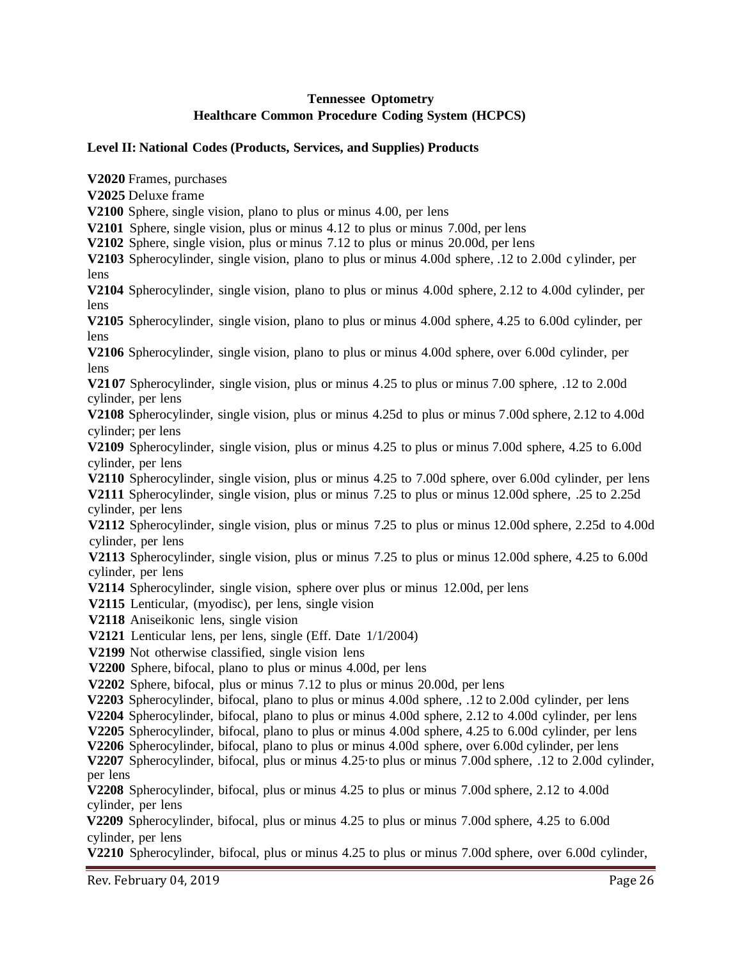## **Tennessee Optometry Healthcare Common Procedure Coding System (HCPCS)**

### **Level II: National Codes (Products, Services, and Supplies) Products**

**V2020** Frames, purchases

**V2025** Deluxe frame

**V2100** Sphere, single vision, plano to plus or minus 4.00, per lens

**V2101** Sphere, single vision, plus or minus 4.12 to plus or minus 7.00d, per lens

**V2102** Sphere, single vision, plus or minus 7.12 to plus or minus 20.00d, per lens

**V2103** Spherocylinder, single vision, plano to plus or minus 4.00d sphere, .12 to 2.00d c ylinder, per lens

**V2104** Spherocylinder, single vision, plano to plus or minus 4.00d sphere, 2.12 to 4.00d cylinder, per lens

**V2105** Spherocylinder, single vision, plano to plus or minus 4.00d sphere, 4.25 to 6.00d cylinder, per lens

**V2106** Spherocylinder, single vision, plano to plus or minus 4.00d sphere, over 6.00d cylinder, per lens

**V2107** Spherocylinder, single vision, plus or minus 4.25 to plus or minus 7.00 sphere, .12 to 2.00d cylinder, per lens

**V2108** Spherocylinder, single vision, plus or minus 4.25d to plus or minus 7.00d sphere, 2.12 to 4.00d cylinder; per lens

**V2109** Spherocylinder, single vision, plus or minus 4.25 to plus or minus 7.00d sphere, 4.25 to 6.00d cylinder, per lens

**V2110** Spherocylinder, single vision, plus or minus 4.25 to 7.00d sphere, over 6.00d cylinder, per lens **V2111** Spherocylinder, single vision, plus or minus 7.25 to plus or minus 12.00d sphere, .25 to 2.25d cylinder, per lens

**V2112** Spherocylinder, single vision, plus or minus 7.25 to plus or minus 12.00d sphere, 2.25d to 4.00d cylinder, per lens

**V2113** Spherocylinder, single vision, plus or minus 7.25 to plus or minus 12.00d sphere, 4.25 to 6.00d cylinder, per lens

**V2114** Spherocylinder, single vision, sphere over plus or minus 12.00d, per lens

**V2115** Lenticular, (myodisc), per lens, single vision

**V2118** Aniseikonic lens, single vision

**V2121** Lenticular lens, per lens, single (Eff. Date 1/1/2004)

**V2199** Not otherwise classified, single vision lens

**V2200** Sphere, bifocal, plano to plus or minus 4.00d, per lens

**V2202** Sphere, bifocal, plus or minus 7.12 to plus or minus 20.00d, per lens

**V2203** Spherocylinder, bifocal, plano to plus or minus 4.00d sphere, .12 to 2.00d cylinder, per lens

**V2204** Spherocylinder, bifocal, plano to plus or minus 4.00d sphere, 2.12 to 4.00d cylinder, per lens

**V2205** Spherocylinder, bifocal, plano to plus or minus 4.00d sphere, 4.25 to 6.00d cylinder, per lens

**V2206** Spherocylinder, bifocal, plano to plus or minus 4.00d sphere, over 6.00d cylinder, per lens

**V2207** Spherocylinder, bifocal, plus or minus 4.25·to plus or minus 7.00d sphere, .12 to 2.00d cylinder, per lens

**V2208** Spherocylinder, bifocal, plus or minus 4.25 to plus or minus 7.00d sphere, 2.12 to 4.00d cylinder, per lens

**V2209** Spherocylinder, bifocal, plus or minus 4.25 to plus or minus 7.00d sphere, 4.25 to 6.00d cylinder, per lens

**V2210** Spherocylinder, bifocal, plus or minus 4.25 to plus or minus 7.00d sphere, over 6.00d cylinder,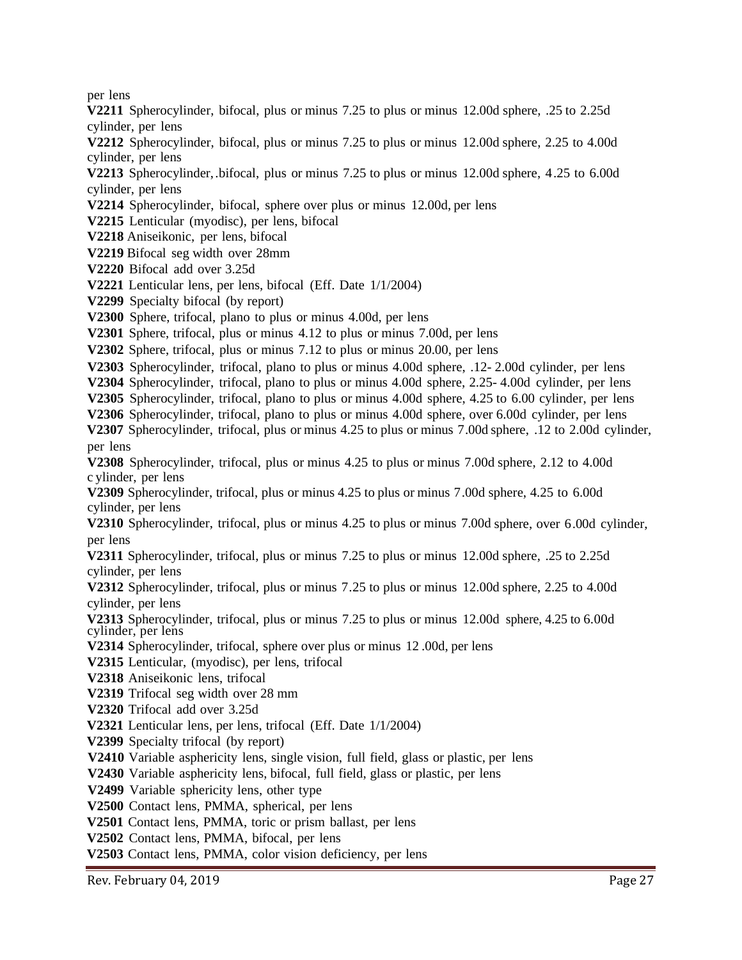per lens

**V2211** Spherocylinder, bifocal, plus or minus 7.25 to plus or minus 12.00d sphere, .25 to 2.25d cylinder, per lens

**V2212** Spherocylinder, bifocal, plus or minus 7.25 to plus or minus 12.00d sphere, 2.25 to 4.00d cylinder, per lens

**V2213** Spherocylinder,.bifocal, plus or minus 7.25 to plus or minus 12.00d sphere, 4.25 to 6.00d cylinder, per lens

**V2214** Spherocylinder, bifocal, sphere over plus or minus 12.00d, per lens

**V2215** Lenticular (myodisc), per lens, bifocal

**V2218** Aniseikonic, per lens, bifocal

**V2219** Bifocal seg width over 28mm

**V2220** Bifocal add over 3.25d

**V2221** Lenticular lens, per lens, bifocal (Eff. Date 1/1/2004)

**V2299** Specialty bifocal (by report)

**V2300** Sphere, trifocal, plano to plus or minus 4.00d, per lens

**V2301** Sphere, trifocal, plus or minus 4.12 to plus or minus 7.00d, per lens

**V2302** Sphere, trifocal, plus or minus 7.12 to plus or minus 20.00, per lens

**V2303** Spherocylinder, trifocal, plano to plus or minus 4.00d sphere, .12- 2.00d cylinder, per lens

**V2304** Spherocylinder, trifocal, plano to plus or minus 4.00d sphere, 2.25- 4.00d cylinder, per lens

**V2305** Spherocylinder, trifocal, plano to plus or minus 4.00d sphere, 4.25 to 6.00 cylinder, per lens

**V2306** Spherocylinder, trifocal, plano to plus or minus 4.00d sphere, over 6.00d cylinder, per lens

**V2307** Spherocylinder, trifocal, plus or minus 4.25 to plus or minus 7.00d sphere, .12 to 2.00d cylinder, per lens

**V2308** Spherocylinder, trifocal, plus or minus 4.25 to plus or minus 7.00d sphere, 2.12 to 4.00d c ylinder, per lens

**V2309** Spherocylinder, trifocal, plus or minus 4.25 to plus or minus 7.00d sphere, 4.25 to 6.00d cylinder, per lens

**V2310** Spherocylinder, trifocal, plus or minus 4.25 to plus or minus 7.00d sphere, over 6.00d cylinder, per lens

**V2311** Spherocylinder, trifocal, plus or minus 7.25 to plus or minus 12.00d sphere, .25 to 2.25d cylinder, per lens

**V2312** Spherocylinder, trifocal, plus or minus 7.25 to plus or minus 12.00d sphere, 2.25 to 4.00d cylinder, per lens

**V2313** Spherocylinder, trifocal, plus or minus 7.25 to plus or minus 12.00d sphere, 4.25 to 6.00d cylinder, per lens

**V2314** Spherocylinder, trifocal, sphere over plus or minus 12 .00d, per lens

**V2315** Lenticular, (myodisc), per lens, trifocal

**V2318** Aniseikonic lens, trifocal

**V2319** Trifocal seg width over 28 mm

**V2320** Trifocal add over 3.25d

**V2321** Lenticular lens, per lens, trifocal (Eff. Date 1/1/2004)

**V2399** Specialty trifocal (by report)

**V2410** Variable asphericity lens, single vision, full field, glass or plastic, per lens

**V2430** Variable asphericity lens, bifocal, full field, glass or plastic, per lens

**V2499** Variable sphericity lens, other type

**V2500** Contact lens, PMMA, spherical, per lens

**V2501** Contact lens, PMMA, toric or prism ballast, per lens

**V2502** Contact lens, PMMA, bifocal, per lens

**V2503** Contact lens, PMMA, color vision deficiency, per lens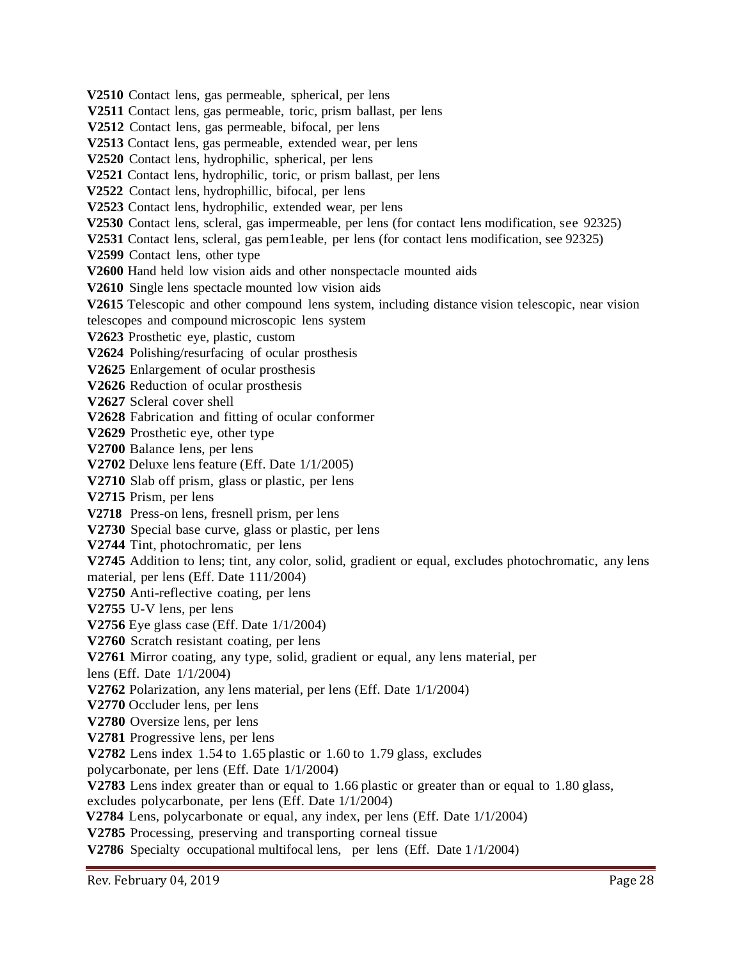**V2510** Contact lens, gas permeable, spherical, per lens **V2511** Contact lens, gas permeable, toric, prism ballast, per lens **V2512** Contact lens, gas permeable, bifocal, per lens **V2513** Contact lens, gas permeable, extended wear, per lens **V2520** Contact lens, hydrophilic, spherical, per lens **V2521** Contact lens, hydrophilic, toric, or prism ballast, per lens **V2522** Contact lens, hydrophillic, bifocal, per lens **V2523** Contact lens, hydrophilic, extended wear, per lens **V2530** Contact lens, scleral, gas impermeable, per lens (for contact lens modification, see 92325) **V2531** Contact lens, scleral, gas pem1eable, per lens (for contact lens modification, see 92325) **V2599** Contact lens, other type **V2600** Hand held low vision aids and other nonspectacle mounted aids **V2610** Single lens spectacle mounted low vision aids **V2615** Telescopic and other compound lens system, including distance vision telescopic, near vision telescopes and compound microscopic lens system **V2623** Prosthetic eye, plastic, custom **V2624** Polishing/resurfacing of ocular prosthesis **V2625** Enlargement of ocular prosthesis **V2626** Reduction of ocular prosthesis **V2627** Scleral cover shell **V2628** Fabrication and fitting of ocular conformer **V2629** Prosthetic eye, other type **V2700** Balance lens, per lens **V2702** Deluxe lens feature (Eff. Date 1/1/2005) **V2710** Slab off prism, glass or plastic, per lens **V2715** Prism, per lens **V2718** Press-on lens, fresnell prism, per lens **V2730** Special base curve, glass or plastic, per lens **V2744** Tint, photochromatic, per lens **V2745** Addition to lens; tint, any color, solid, gradient or equal, excludes photochromatic, any lens material, per lens (Eff. Date 111/2004) **V2750** Anti-reflective coating, per lens **V2755** U-V lens, per lens **V2756** Eye glass case (Eff. Date 1/1/2004) **V2760** Scratch resistant coating, per lens **V2761** Mirror coating, any type, solid, gradient or equal, any lens material, per lens (Eff. Date 1/1/2004) **V2762** Polarization, any lens material, per lens (Eff. Date 1/1/2004) **V2770** Occluder lens, per lens **V2780** Oversize lens, per lens **V2781** Progressive lens, per lens **V2782** Lens index 1.54 to 1.65 plastic or 1.60 to 1.79 glass, excludes polycarbonate, per lens (Eff. Date 1/1/2004) **V2783** Lens index greater than or equal to 1.66 plastic or greater than or equal to 1.80 glass, excludes polycarbonate, per lens (Eff. Date 1/1/2004) **V2784** Lens, polycarbonate or equal, any index, per lens (Eff. Date 1/1/2004) **V2785** Processing, preserving and transporting corneal tissue **V2786** Specialty occupational multifocal lens, per lens (Eff. Date 1 /1/2004)